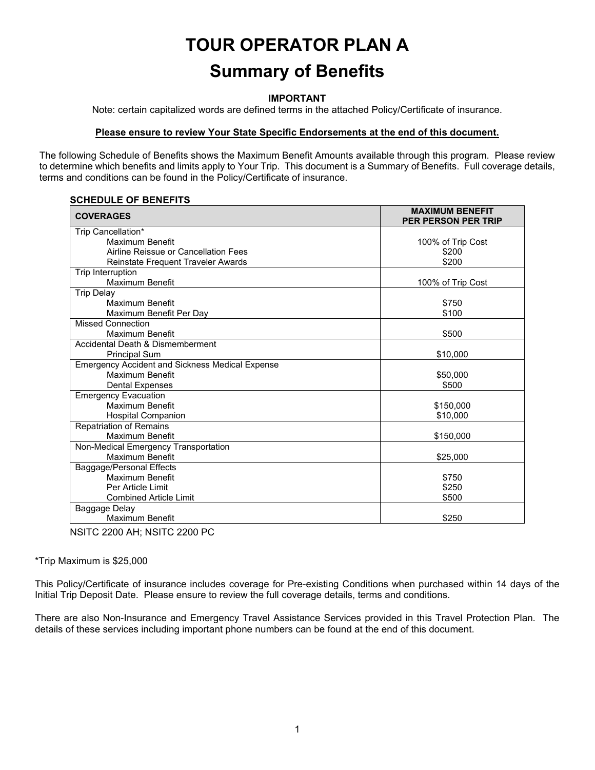# **TOUR OPERATOR PLAN A Summary of Benefits**

#### **IMPORTANT**

Note: certain capitalized words are defined terms in the attached Policy/Certificate of insurance.

#### **Please ensure to review Your State Specific Endorsements at the end of this document.**

The following Schedule of Benefits shows the Maximum Benefit Amounts available through this program. Please review to determine which benefits and limits apply to Your Trip. This document is a Summary of Benefits. Full coverage details, terms and conditions can be found in the Policy/Certificate of insurance.

#### **SCHEDULE OF BENEFITS**

| <b>COVERAGES</b>                                       | <b>MAXIMUM BENEFIT</b><br><b>PER PERSON PER TRIP</b> |
|--------------------------------------------------------|------------------------------------------------------|
| Trip Cancellation*                                     |                                                      |
| Maximum Benefit                                        | 100% of Trip Cost                                    |
| Airline Reissue or Cancellation Fees                   | \$200                                                |
| Reinstate Frequent Traveler Awards                     | \$200                                                |
| Trip Interruption                                      |                                                      |
| Maximum Benefit                                        | 100% of Trip Cost                                    |
| <b>Trip Delay</b>                                      |                                                      |
| Maximum Benefit                                        | \$750                                                |
| Maximum Benefit Per Day                                | \$100                                                |
| <b>Missed Connection</b>                               |                                                      |
| Maximum Benefit                                        | \$500                                                |
| Accidental Death & Dismemberment                       |                                                      |
| <b>Principal Sum</b>                                   | \$10,000                                             |
| <b>Emergency Accident and Sickness Medical Expense</b> |                                                      |
| Maximum Benefit                                        | \$50,000                                             |
| <b>Dental Expenses</b>                                 | \$500                                                |
| <b>Emergency Evacuation</b>                            |                                                      |
| Maximum Benefit                                        | \$150,000                                            |
| <b>Hospital Companion</b>                              | \$10,000                                             |
| <b>Repatriation of Remains</b>                         |                                                      |
| Maximum Benefit                                        | \$150,000                                            |
| Non-Medical Emergency Transportation                   |                                                      |
| Maximum Benefit                                        | \$25,000                                             |
| Baggage/Personal Effects                               |                                                      |
| Maximum Benefit                                        | \$750                                                |
| Per Article Limit                                      | \$250                                                |
| <b>Combined Article Limit</b>                          | \$500                                                |
| Baggage Delay                                          |                                                      |
| Maximum Benefit                                        | \$250                                                |

NSITC 2200 AH; NSITC 2200 PC

\*Trip Maximum is \$25,000

This Policy/Certificate of insurance includes coverage for Pre-existing Conditions when purchased within 14 days of the Initial Trip Deposit Date. Please ensure to review the full coverage details, terms and conditions.

There are also Non-Insurance and Emergency Travel Assistance Services provided in this Travel Protection Plan. The details of these services including important phone numbers can be found at the end of this document.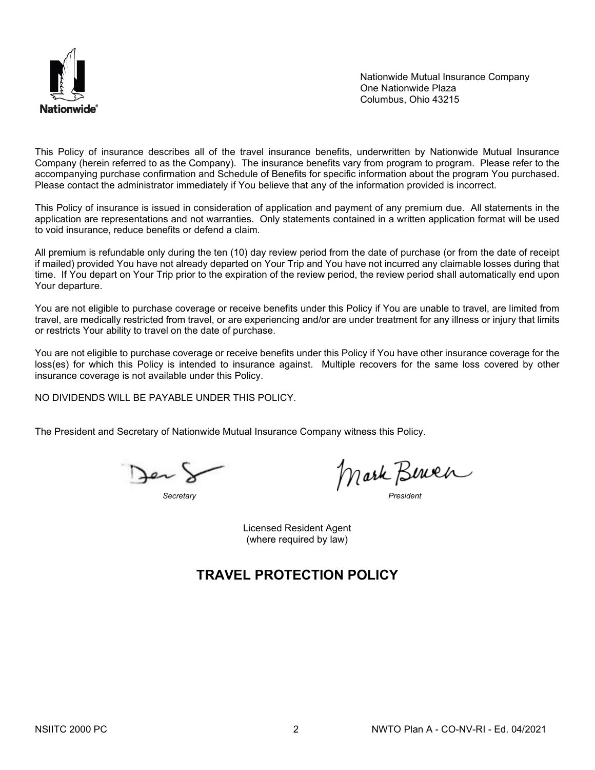

Nationwide Mutual Insurance Company One Nationwide Plaza Columbus, Ohio 43215

This Policy of insurance describes all of the travel insurance benefits, underwritten by Nationwide Mutual Insurance Company (herein referred to as the Company). The insurance benefits vary from program to program. Please refer to the accompanying purchase confirmation and Schedule of Benefits for specific information about the program You purchased. Please contact the administrator immediately if You believe that any of the information provided is incorrect.

This Policy of insurance is issued in consideration of application and payment of any premium due. All statements in the application are representations and not warranties. Only statements contained in a written application format will be used to void insurance, reduce benefits or defend a claim.

All premium is refundable only during the ten (10) day review period from the date of purchase (or from the date of receipt if mailed) provided You have not already departed on Your Trip and You have not incurred any claimable losses during that time. If You depart on Your Trip prior to the expiration of the review period, the review period shall automatically end upon Your departure.

You are not eligible to purchase coverage or receive benefits under this Policy if You are unable to travel, are limited from travel, are medically restricted from travel, or are experiencing and/or are under treatment for any illness or injury that limits or restricts Your ability to travel on the date of purchase.

You are not eligible to purchase coverage or receive benefits under this Policy if You have other insurance coverage for the loss(es) for which this Policy is intended to insurance against. Multiple recovers for the same loss covered by other insurance coverage is not available under this Policy.

NO DIVIDENDS WILL BE PAYABLE UNDER THIS POLICY.

The President and Secretary of Nationwide Mutual Insurance Company witness this Policy.

Jen)

*Secretary President*

Licensed Resident Agent (where required by law)

# **TRAVEL PROTECTION POLICY**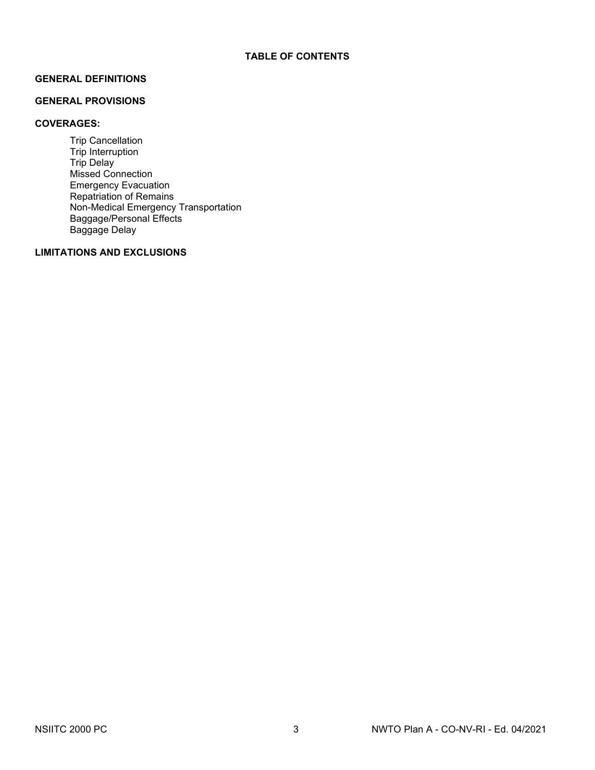#### **GENERAL DEFINITIONS**

#### **GENERAL PROVISIONS**

#### **COVERAGES:**

Trip Cancellation Trip Interruption Trip Delay Missed Connection Emergency Evacuation Repatriation of Remains Non-Medical Emergency Transportation Baggage/Personal Effects Baggage Delay

## **LIMITATIONS AND EXCLUSIONS**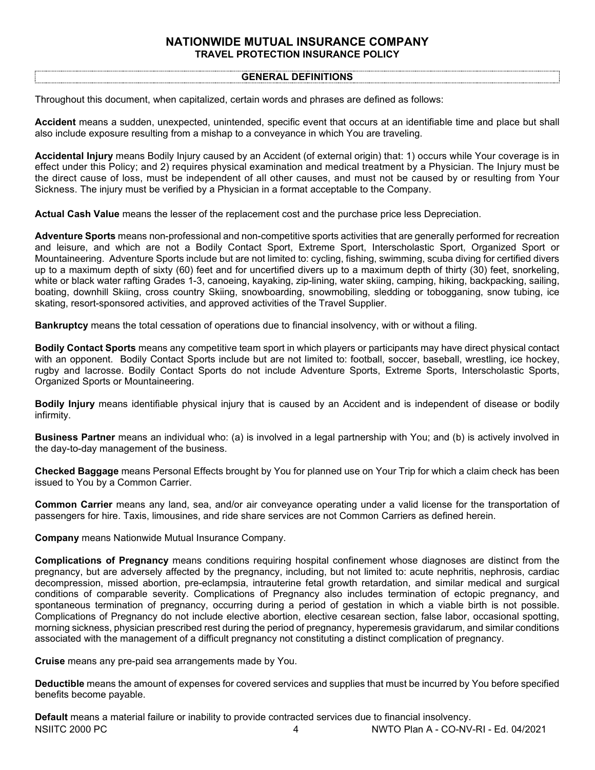## **NATIONWIDE MUTUAL INSURANCE COMPANY TRAVEL PROTECTION INSURANCE POLICY**

#### **GENERAL DEFINITIONS**

Throughout this document, when capitalized, certain words and phrases are defined as follows:

**Accident** means a sudden, unexpected, unintended, specific event that occurs at an identifiable time and place but shall also include exposure resulting from a mishap to a conveyance in which You are traveling.

**Accidental Injury** means Bodily Injury caused by an Accident (of external origin) that: 1) occurs while Your coverage is in effect under this Policy; and 2) requires physical examination and medical treatment by a Physician. The Injury must be the direct cause of loss, must be independent of all other causes, and must not be caused by or resulting from Your Sickness. The injury must be verified by a Physician in a format acceptable to the Company.

**Actual Cash Value** means the lesser of the replacement cost and the purchase price less Depreciation.

**Adventure Sports** means non-professional and non-competitive sports activities that are generally performed for recreation and leisure, and which are not a Bodily Contact Sport, Extreme Sport, Interscholastic Sport, Organized Sport or Mountaineering. Adventure Sports include but are not limited to: cycling, fishing, swimming, scuba diving for certified divers up to a maximum depth of sixty (60) feet and for uncertified divers up to a maximum depth of thirty (30) feet, snorkeling, white or black water rafting Grades 1-3, canoeing, kayaking, zip-lining, water skiing, camping, hiking, backpacking, sailing, boating, downhill Skiing, cross country Skiing, snowboarding, snowmobiling, sledding or tobogganing, snow tubing, ice skating, resort-sponsored activities, and approved activities of the Travel Supplier.

**Bankruptcy** means the total cessation of operations due to financial insolvency, with or without a filing.

**Bodily Contact Sports** means any competitive team sport in which players or participants may have direct physical contact with an opponent. Bodily Contact Sports include but are not limited to: football, soccer, baseball, wrestling, ice hockey, rugby and lacrosse. Bodily Contact Sports do not include Adventure Sports, Extreme Sports, Interscholastic Sports, Organized Sports or Mountaineering.

**Bodily Injury** means identifiable physical injury that is caused by an Accident and is independent of disease or bodily infirmity.

**Business Partner** means an individual who: (a) is involved in a legal partnership with You; and (b) is actively involved in the day-to-day management of the business.

**Checked Baggage** means Personal Effects brought by You for planned use on Your Trip for which a claim check has been issued to You by a Common Carrier.

**Common Carrier** means any land, sea, and/or air conveyance operating under a valid license for the transportation of passengers for hire. Taxis, limousines, and ride share services are not Common Carriers as defined herein.

**Company** means Nationwide Mutual Insurance Company.

**Complications of Pregnancy** means conditions requiring hospital confinement whose diagnoses are distinct from the pregnancy, but are adversely affected by the pregnancy, including, but not limited to: acute nephritis, nephrosis, cardiac decompression, missed abortion, pre-eclampsia, intrauterine fetal growth retardation, and similar medical and surgical conditions of comparable severity. Complications of Pregnancy also includes termination of ectopic pregnancy, and spontaneous termination of pregnancy, occurring during a period of gestation in which a viable birth is not possible. Complications of Pregnancy do not include elective abortion, elective cesarean section, false labor, occasional spotting, morning sickness, physician prescribed rest during the period of pregnancy, hyperemesis gravidarum, and similar conditions associated with the management of a difficult pregnancy not constituting a distinct complication of pregnancy.

**Cruise** means any pre-paid sea arrangements made by You.

**Deductible** means the amount of expenses for covered services and supplies that must be incurred by You before specified benefits become payable.

NSIITC 2000 PC 4 NWTO Plan A - CO-NV-RI - Ed. 04/2021 **Default** means a material failure or inability to provide contracted services due to financial insolvency.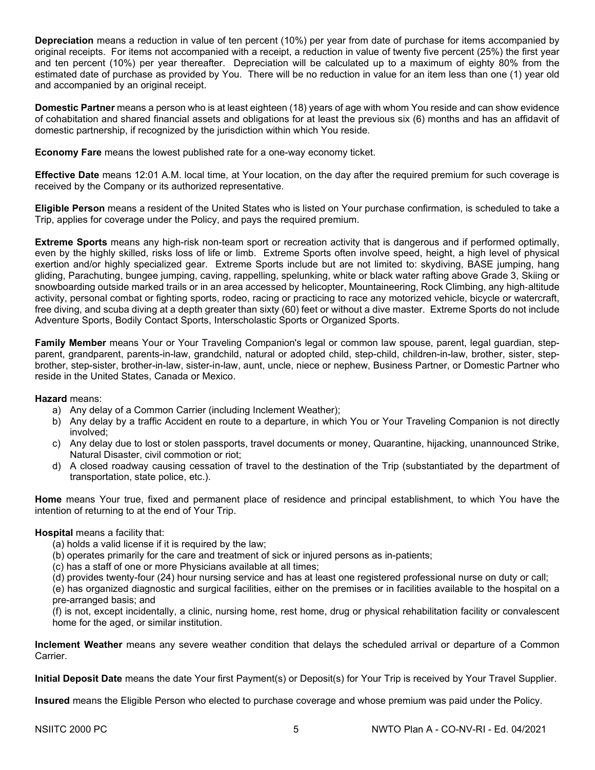**Depreciation** means a reduction in value of ten percent (10%) per year from date of purchase for items accompanied by original receipts. For items not accompanied with a receipt, a reduction in value of twenty five percent (25%) the first year and ten percent (10%) per year thereafter. Depreciation will be calculated up to a maximum of eighty 80% from the estimated date of purchase as provided by You. There will be no reduction in value for an item less than one (1) year old and accompanied by an original receipt.

**Domestic Partner** means a person who is at least eighteen (18) years of age with whom You reside and can show evidence of cohabitation and shared financial assets and obligations for at least the previous six (6) months and has an affidavit of domestic partnership, if recognized by the jurisdiction within which You reside.

**Economy Fare** means the lowest published rate for a one-way economy ticket.

**Effective Date** means 12:01 A.M. local time, at Your location, on the day after the required premium for such coverage is received by the Company or its authorized representative.

**Eligible Person** means a resident of the United States who is listed on Your purchase confirmation, is scheduled to take a Trip, applies for coverage under the Policy, and pays the required premium.

**Extreme Sports** means any high-risk non-team sport or recreation activity that is dangerous and if performed optimally, even by the highly skilled, risks loss of life or limb. Extreme Sports often involve speed, height, a high level of physical exertion and/or highly specialized gear. Extreme Sports include but are not limited to: skydiving, BASE jumping, hang gliding, Parachuting, bungee jumping, caving, rappelling, spelunking, white or black water rafting above Grade 3, Skiing or snowboarding outside marked trails or in an area accessed by helicopter, Mountaineering, Rock Climbing, any high‐altitude activity, personal combat or fighting sports, rodeo, racing or practicing to race any motorized vehicle, bicycle or watercraft, free diving, and scuba diving at a depth greater than sixty (60) feet or without a dive master. Extreme Sports do not include Adventure Sports, Bodily Contact Sports, Interscholastic Sports or Organized Sports.

**Family Member** means Your or Your Traveling Companion's legal or common law spouse, parent, legal guardian, stepparent, grandparent, parents-in-law, grandchild, natural or adopted child, step-child, children-in-law, brother, sister, stepbrother, step-sister, brother-in-law, sister-in-law, aunt, uncle, niece or nephew, Business Partner, or Domestic Partner who reside in the United States, Canada or Mexico.

#### **Hazard** means:

- a) Any delay of a Common Carrier (including Inclement Weather);
- b) Any delay by a traffic Accident en route to a departure, in which You or Your Traveling Companion is not directly involved;
- c) Any delay due to lost or stolen passports, travel documents or money, Quarantine, hijacking, unannounced Strike, Natural Disaster, civil commotion or riot;
- d) A closed roadway causing cessation of travel to the destination of the Trip (substantiated by the department of transportation, state police, etc.).

**Home** means Your true, fixed and permanent place of residence and principal establishment, to which You have the intention of returning to at the end of Your Trip.

#### **Hospital** means a facility that:

- (a) holds a valid license if it is required by the law;
- (b) operates primarily for the care and treatment of sick or injured persons as in-patients;
- (c) has a staff of one or more Physicians available at all times;
- (d) provides twenty-four (24) hour nursing service and has at least one registered professional nurse on duty or call;

(e) has organized diagnostic and surgical facilities, either on the premises or in facilities available to the hospital on a pre-arranged basis; and

(f) is not, except incidentally, a clinic, nursing home, rest home, drug or physical rehabilitation facility or convalescent home for the aged, or similar institution.

**Inclement Weather** means any severe weather condition that delays the scheduled arrival or departure of a Common **Carrier** 

**Initial Deposit Date** means the date Your first Payment(s) or Deposit(s) for Your Trip is received by Your Travel Supplier.

**Insured** means the Eligible Person who elected to purchase coverage and whose premium was paid under the Policy.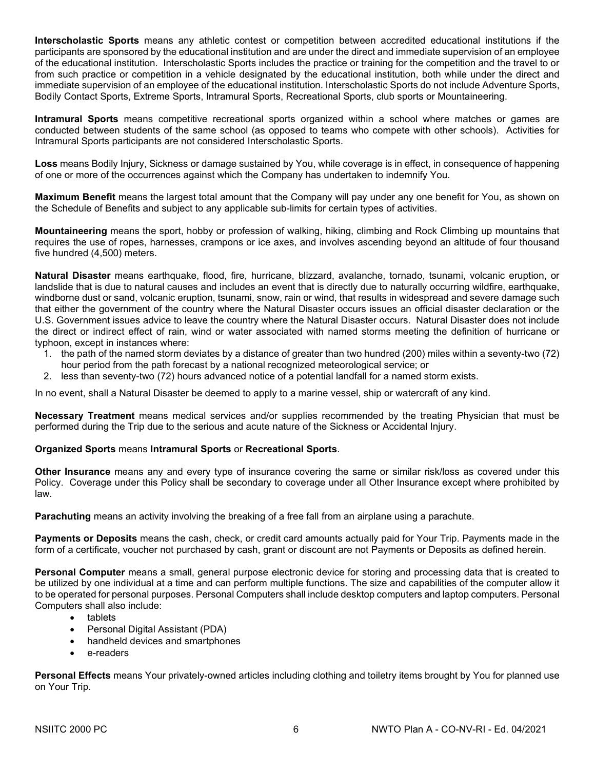**Interscholastic Sports** means any athletic contest or competition between accredited educational institutions if the participants are sponsored by the educational institution and are under the direct and immediate supervision of an employee of the educational institution. Interscholastic Sports includes the practice or training for the competition and the travel to or from such practice or competition in a vehicle designated by the educational institution, both while under the direct and immediate supervision of an employee of the educational institution. Interscholastic Sports do not include Adventure Sports, Bodily Contact Sports, Extreme Sports, Intramural Sports, Recreational Sports, club sports or Mountaineering.

**Intramural Sports** means competitive recreational sports organized within a school where matches or games are conducted between students of the same school (as opposed to teams who compete with other schools). Activities for Intramural Sports participants are not considered Interscholastic Sports.

**Loss** means Bodily Injury, Sickness or damage sustained by You, while coverage is in effect, in consequence of happening of one or more of the occurrences against which the Company has undertaken to indemnify You.

**Maximum Benefit** means the largest total amount that the Company will pay under any one benefit for You, as shown on the Schedule of Benefits and subject to any applicable sub-limits for certain types of activities.

**Mountaineering** means the sport, hobby or profession of walking, hiking, climbing and Rock Climbing up mountains that requires the use of ropes, harnesses, crampons or ice axes, and involves ascending beyond an altitude of four thousand five hundred (4,500) meters.

**Natural Disaster** means earthquake, flood, fire, hurricane, blizzard, avalanche, tornado, tsunami, volcanic eruption, or landslide that is due to natural causes and includes an event that is directly due to naturally occurring wildfire, earthquake, windborne dust or sand, volcanic eruption, tsunami, snow, rain or wind, that results in widespread and severe damage such that either the government of the country where the Natural Disaster occurs issues an official disaster declaration or the U.S. Government issues advice to leave the country where the Natural Disaster occurs. Natural Disaster does not include the direct or indirect effect of rain, wind or water associated with named storms meeting the definition of hurricane or typhoon, except in instances where:

- 1. the path of the named storm deviates by a distance of greater than two hundred (200) miles within a seventy-two (72) hour period from the path forecast by a national recognized meteorological service; or
- 2. less than seventy-two (72) hours advanced notice of a potential landfall for a named storm exists.

In no event, shall a Natural Disaster be deemed to apply to a marine vessel, ship or watercraft of any kind.

**Necessary Treatment** means medical services and/or supplies recommended by the treating Physician that must be performed during the Trip due to the serious and acute nature of the Sickness or Accidental Injury.

#### **Organized Sports** means **Intramural Sports** or **Recreational Sports**.

**Other Insurance** means any and every type of insurance covering the same or similar risk/loss as covered under this Policy. Coverage under this Policy shall be secondary to coverage under all Other Insurance except where prohibited by law.

**Parachuting** means an activity involving the breaking of a free fall from an airplane using a parachute.

**Payments or Deposits** means the cash, check, or credit card amounts actually paid for Your Trip. Payments made in the form of a certificate, voucher not purchased by cash, grant or discount are not Payments or Deposits as defined herein.

**Personal Computer** means a small, general purpose electronic device for storing and processing data that is created to be utilized by one individual at a time and can perform multiple functions. The size and capabilities of the computer allow it to be operated for personal purposes. Personal Computers shall include desktop computers and laptop computers. Personal Computers shall also include:

- tablets
- Personal Digital Assistant (PDA)
- handheld devices and smartphones
- e-readers

**Personal Effects** means Your privately-owned articles including clothing and toiletry items brought by You for planned use on Your Trip.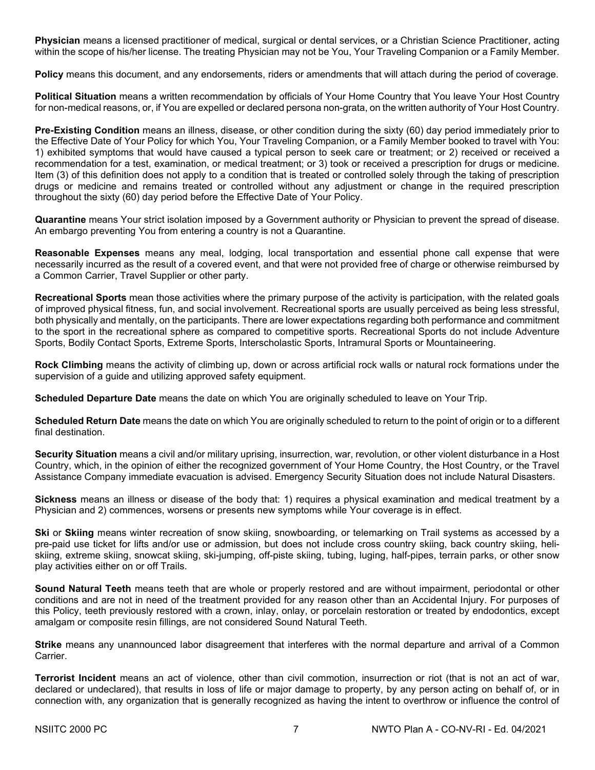**Physician** means a licensed practitioner of medical, surgical or dental services, or a Christian Science Practitioner, acting within the scope of his/her license. The treating Physician may not be You, Your Traveling Companion or a Family Member.

**Policy** means this document, and any endorsements, riders or amendments that will attach during the period of coverage.

**Political Situation** means a written recommendation by officials of Your Home Country that You leave Your Host Country for non-medical reasons, or, if You are expelled or declared persona non-grata, on the written authority of Your Host Country.

**Pre-Existing Condition** means an illness, disease, or other condition during the sixty (60) day period immediately prior to the Effective Date of Your Policy for which You, Your Traveling Companion, or a Family Member booked to travel with You: 1) exhibited symptoms that would have caused a typical person to seek care or treatment; or 2) received or received a recommendation for a test, examination, or medical treatment; or 3) took or received a prescription for drugs or medicine. Item (3) of this definition does not apply to a condition that is treated or controlled solely through the taking of prescription drugs or medicine and remains treated or controlled without any adjustment or change in the required prescription throughout the sixty (60) day period before the Effective Date of Your Policy.

**Quarantine** means Your strict isolation imposed by a Government authority or Physician to prevent the spread of disease. An embargo preventing You from entering a country is not a Quarantine.

**Reasonable Expenses** means any meal, lodging, local transportation and essential phone call expense that were necessarily incurred as the result of a covered event, and that were not provided free of charge or otherwise reimbursed by a Common Carrier, Travel Supplier or other party.

**Recreational Sports** mean those activities where the primary purpose of the activity is participation, with the related goals of improved physical fitness, fun, and social involvement. Recreational sports are usually perceived as being less stressful, both physically and mentally, on the participants. There are lower expectations regarding both performance and commitment to the sport in the recreational sphere as compared to competitive sports. Recreational Sports do not include Adventure Sports, Bodily Contact Sports, Extreme Sports, Interscholastic Sports, Intramural Sports or Mountaineering.

**Rock Climbing** means the activity of climbing up, down or across artificial rock walls or natural rock formations under the supervision of a guide and utilizing approved safety equipment.

**Scheduled Departure Date** means the date on which You are originally scheduled to leave on Your Trip.

**Scheduled Return Date** means the date on which You are originally scheduled to return to the point of origin or to a different final destination.

**Security Situation** means a civil and/or military uprising, insurrection, war, revolution, or other violent disturbance in a Host Country, which, in the opinion of either the recognized government of Your Home Country, the Host Country, or the Travel Assistance Company immediate evacuation is advised. Emergency Security Situation does not include Natural Disasters.

**Sickness** means an illness or disease of the body that: 1) requires a physical examination and medical treatment by a Physician and 2) commences, worsens or presents new symptoms while Your coverage is in effect.

**Ski** or **Skiing** means winter recreation of snow skiing, snowboarding, or telemarking on Trail systems as accessed by a pre-paid use ticket for lifts and/or use or admission, but does not include cross country skiing, back country skiing, heliskiing, extreme skiing, snowcat skiing, ski-jumping, off-piste skiing, tubing, luging, half-pipes, terrain parks, or other snow play activities either on or off Trails.

**Sound Natural Teeth** means teeth that are whole or properly restored and are without impairment, periodontal or other conditions and are not in need of the treatment provided for any reason other than an Accidental Injury. For purposes of this Policy, teeth previously restored with a crown, inlay, onlay, or porcelain restoration or treated by endodontics, except amalgam or composite resin fillings, are not considered Sound Natural Teeth.

**Strike** means any unannounced labor disagreement that interferes with the normal departure and arrival of a Common Carrier.

**Terrorist Incident** means an act of violence, other than civil commotion, insurrection or riot (that is not an act of war, declared or undeclared), that results in loss of life or major damage to property, by any person acting on behalf of, or in connection with, any organization that is generally recognized as having the intent to overthrow or influence the control of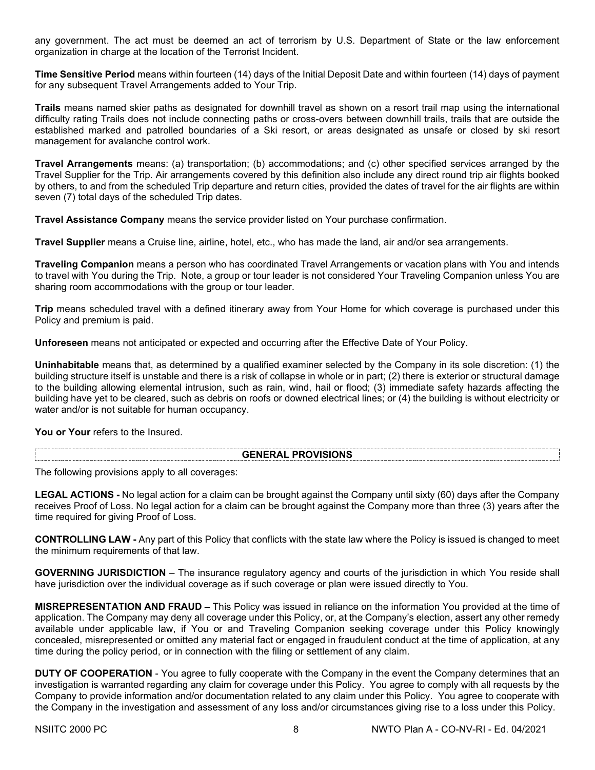any government. The act must be deemed an act of terrorism by U.S. Department of State or the law enforcement organization in charge at the location of the Terrorist Incident.

**Time Sensitive Period** means within fourteen (14) days of the Initial Deposit Date and within fourteen (14) days of payment for any subsequent Travel Arrangements added to Your Trip.

**Trails** means named skier paths as designated for downhill travel as shown on a resort trail map using the international difficulty rating Trails does not include connecting paths or cross-overs between downhill trails, trails that are outside the established marked and patrolled boundaries of a Ski resort, or areas designated as unsafe or closed by ski resort management for avalanche control work.

**Travel Arrangements** means: (a) transportation; (b) accommodations; and (c) other specified services arranged by the Travel Supplier for the Trip. Air arrangements covered by this definition also include any direct round trip air flights booked by others, to and from the scheduled Trip departure and return cities, provided the dates of travel for the air flights are within seven (7) total days of the scheduled Trip dates.

**Travel Assistance Company** means the service provider listed on Your purchase confirmation.

**Travel Supplier** means a Cruise line, airline, hotel, etc., who has made the land, air and/or sea arrangements.

**Traveling Companion** means a person who has coordinated Travel Arrangements or vacation plans with You and intends to travel with You during the Trip. Note, a group or tour leader is not considered Your Traveling Companion unless You are sharing room accommodations with the group or tour leader.

**Trip** means scheduled travel with a defined itinerary away from Your Home for which coverage is purchased under this Policy and premium is paid.

**Unforeseen** means not anticipated or expected and occurring after the Effective Date of Your Policy.

**Uninhabitable** means that, as determined by a qualified examiner selected by the Company in its sole discretion: (1) the building structure itself is unstable and there is a risk of collapse in whole or in part; (2) there is exterior or structural damage to the building allowing elemental intrusion, such as rain, wind, hail or flood; (3) immediate safety hazards affecting the building have yet to be cleared, such as debris on roofs or downed electrical lines; or (4) the building is without electricity or water and/or is not suitable for human occupancy.

**You or Your** refers to the Insured.

#### **GENERAL PROVISIONS**

The following provisions apply to all coverages:

**LEGAL ACTIONS -** No legal action for a claim can be brought against the Company until sixty (60) days after the Company receives Proof of Loss. No legal action for a claim can be brought against the Company more than three (3) years after the time required for giving Proof of Loss.

**CONTROLLING LAW -** Any part of this Policy that conflicts with the state law where the Policy is issued is changed to meet the minimum requirements of that law.

**GOVERNING JURISDICTION** – The insurance regulatory agency and courts of the jurisdiction in which You reside shall have jurisdiction over the individual coverage as if such coverage or plan were issued directly to You.

**MISREPRESENTATION AND FRAUD –** This Policy was issued in reliance on the information You provided at the time of application. The Company may deny all coverage under this Policy, or, at the Company's election, assert any other remedy available under applicable law, if You or and Traveling Companion seeking coverage under this Policy knowingly concealed, misrepresented or omitted any material fact or engaged in fraudulent conduct at the time of application, at any time during the policy period, or in connection with the filing or settlement of any claim.

**DUTY OF COOPERATION** - You agree to fully cooperate with the Company in the event the Company determines that an investigation is warranted regarding any claim for coverage under this Policy. You agree to comply with all requests by the Company to provide information and/or documentation related to any claim under this Policy. You agree to cooperate with the Company in the investigation and assessment of any loss and/or circumstances giving rise to a loss under this Policy.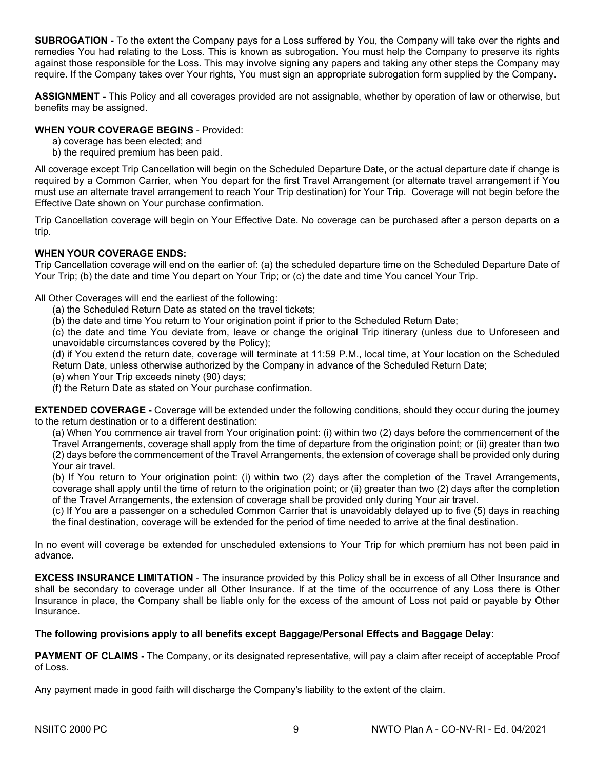**SUBROGATION -** To the extent the Company pays for a Loss suffered by You, the Company will take over the rights and remedies You had relating to the Loss. This is known as subrogation. You must help the Company to preserve its rights against those responsible for the Loss. This may involve signing any papers and taking any other steps the Company may require. If the Company takes over Your rights, You must sign an appropriate subrogation form supplied by the Company.

**ASSIGNMENT -** This Policy and all coverages provided are not assignable, whether by operation of law or otherwise, but benefits may be assigned.

#### **WHEN YOUR COVERAGE BEGINS** - Provided:

- a) coverage has been elected; and
- b) the required premium has been paid.

All coverage except Trip Cancellation will begin on the Scheduled Departure Date, or the actual departure date if change is required by a Common Carrier, when You depart for the first Travel Arrangement (or alternate travel arrangement if You must use an alternate travel arrangement to reach Your Trip destination) for Your Trip. Coverage will not begin before the Effective Date shown on Your purchase confirmation.

Trip Cancellation coverage will begin on Your Effective Date. No coverage can be purchased after a person departs on a trip.

### **WHEN YOUR COVERAGE ENDS:**

Trip Cancellation coverage will end on the earlier of: (a) the scheduled departure time on the Scheduled Departure Date of Your Trip; (b) the date and time You depart on Your Trip; or (c) the date and time You cancel Your Trip.

All Other Coverages will end the earliest of the following:

- (a) the Scheduled Return Date as stated on the travel tickets;
- (b) the date and time You return to Your origination point if prior to the Scheduled Return Date;

(c) the date and time You deviate from, leave or change the original Trip itinerary (unless due to Unforeseen and unavoidable circumstances covered by the Policy);

(d) if You extend the return date, coverage will terminate at 11:59 P.M., local time, at Your location on the Scheduled Return Date, unless otherwise authorized by the Company in advance of the Scheduled Return Date;

- (e) when Your Trip exceeds ninety (90) days;
- (f) the Return Date as stated on Your purchase confirmation.

**EXTENDED COVERAGE -** Coverage will be extended under the following conditions, should they occur during the journey to the return destination or to a different destination:

(a) When You commence air travel from Your origination point: (i) within two (2) days before the commencement of the Travel Arrangements, coverage shall apply from the time of departure from the origination point; or (ii) greater than two (2) days before the commencement of the Travel Arrangements, the extension of coverage shall be provided only during Your air travel.

(b) If You return to Your origination point: (i) within two (2) days after the completion of the Travel Arrangements, coverage shall apply until the time of return to the origination point; or (ii) greater than two (2) days after the completion of the Travel Arrangements, the extension of coverage shall be provided only during Your air travel.

(c) If You are a passenger on a scheduled Common Carrier that is unavoidably delayed up to five (5) days in reaching the final destination, coverage will be extended for the period of time needed to arrive at the final destination.

In no event will coverage be extended for unscheduled extensions to Your Trip for which premium has not been paid in advance.

**EXCESS INSURANCE LIMITATION** - The insurance provided by this Policy shall be in excess of all Other Insurance and shall be secondary to coverage under all Other Insurance. If at the time of the occurrence of any Loss there is Other Insurance in place, the Company shall be liable only for the excess of the amount of Loss not paid or payable by Other Insurance.

#### **The following provisions apply to all benefits except Baggage/Personal Effects and Baggage Delay:**

**PAYMENT OF CLAIMS -** The Company, or its designated representative, will pay a claim after receipt of acceptable Proof of Loss.

Any payment made in good faith will discharge the Company's liability to the extent of the claim.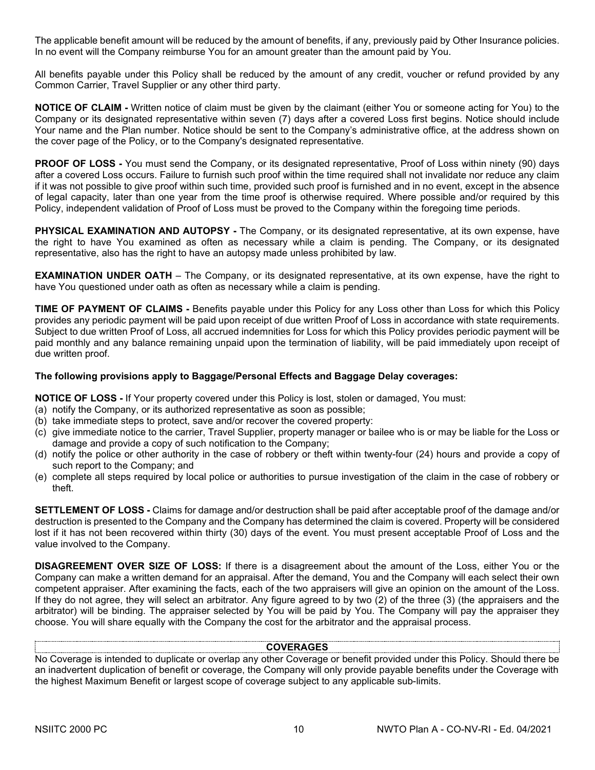The applicable benefit amount will be reduced by the amount of benefits, if any, previously paid by Other Insurance policies. In no event will the Company reimburse You for an amount greater than the amount paid by You.

All benefits payable under this Policy shall be reduced by the amount of any credit, voucher or refund provided by any Common Carrier, Travel Supplier or any other third party.

**NOTICE OF CLAIM -** Written notice of claim must be given by the claimant (either You or someone acting for You) to the Company or its designated representative within seven (7) days after a covered Loss first begins. Notice should include Your name and the Plan number. Notice should be sent to the Company's administrative office, at the address shown on the cover page of the Policy, or to the Company's designated representative.

**PROOF OF LOSS -** You must send the Company, or its designated representative, Proof of Loss within ninety (90) days after a covered Loss occurs. Failure to furnish such proof within the time required shall not invalidate nor reduce any claim if it was not possible to give proof within such time, provided such proof is furnished and in no event, except in the absence of legal capacity, later than one year from the time proof is otherwise required. Where possible and/or required by this Policy, independent validation of Proof of Loss must be proved to the Company within the foregoing time periods.

**PHYSICAL EXAMINATION AND AUTOPSY -** The Company, or its designated representative, at its own expense, have the right to have You examined as often as necessary while a claim is pending. The Company, or its designated representative, also has the right to have an autopsy made unless prohibited by law.

**EXAMINATION UNDER OATH** – The Company, or its designated representative, at its own expense, have the right to have You questioned under oath as often as necessary while a claim is pending.

**TIME OF PAYMENT OF CLAIMS -** Benefits payable under this Policy for any Loss other than Loss for which this Policy provides any periodic payment will be paid upon receipt of due written Proof of Loss in accordance with state requirements. Subject to due written Proof of Loss, all accrued indemnities for Loss for which this Policy provides periodic payment will be paid monthly and any balance remaining unpaid upon the termination of liability, will be paid immediately upon receipt of due written proof.

#### **The following provisions apply to Baggage/Personal Effects and Baggage Delay coverages:**

**NOTICE OF LOSS -** If Your property covered under this Policy is lost, stolen or damaged, You must:

- (a) notify the Company, or its authorized representative as soon as possible;
- (b) take immediate steps to protect, save and/or recover the covered property:
- (c) give immediate notice to the carrier, Travel Supplier, property manager or bailee who is or may be liable for the Loss or damage and provide a copy of such notification to the Company;
- (d) notify the police or other authority in the case of robbery or theft within twenty-four (24) hours and provide a copy of such report to the Company; and
- (e) complete all steps required by local police or authorities to pursue investigation of the claim in the case of robbery or theft.

**SETTLEMENT OF LOSS -** Claims for damage and/or destruction shall be paid after acceptable proof of the damage and/or destruction is presented to the Company and the Company has determined the claim is covered. Property will be considered lost if it has not been recovered within thirty (30) days of the event. You must present acceptable Proof of Loss and the value involved to the Company.

**DISAGREEMENT OVER SIZE OF LOSS:** If there is a disagreement about the amount of the Loss, either You or the Company can make a written demand for an appraisal. After the demand, You and the Company will each select their own competent appraiser. After examining the facts, each of the two appraisers will give an opinion on the amount of the Loss. If they do not agree, they will select an arbitrator. Any figure agreed to by two (2) of the three (3) (the appraisers and the arbitrator) will be binding. The appraiser selected by You will be paid by You. The Company will pay the appraiser they choose. You will share equally with the Company the cost for the arbitrator and the appraisal process.

#### **COVERAGES**

No Coverage is intended to duplicate or overlap any other Coverage or benefit provided under this Policy. Should there be an inadvertent duplication of benefit or coverage, the Company will only provide payable benefits under the Coverage with the highest Maximum Benefit or largest scope of coverage subject to any applicable sub-limits.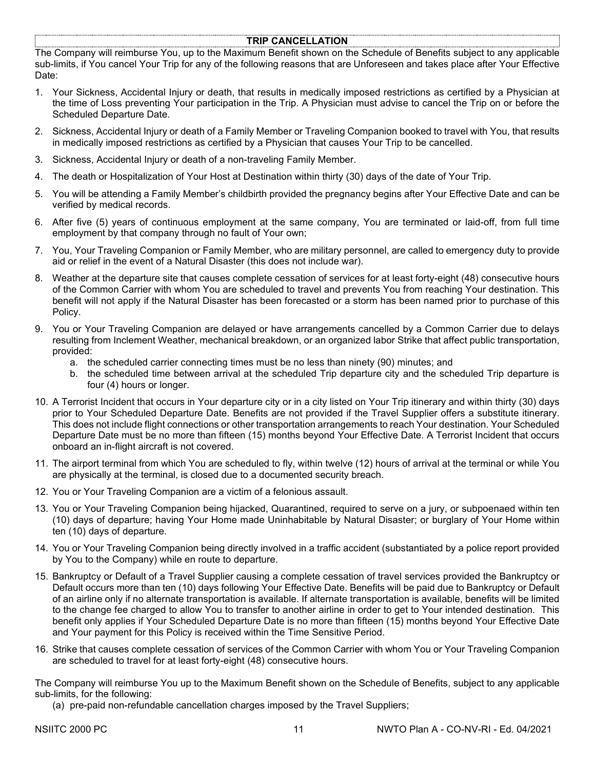#### **TRIP CANCELLATION**

The Company will reimburse You, up to the Maximum Benefit shown on the Schedule of Benefits subject to any applicable sub-limits, if You cancel Your Trip for any of the following reasons that are Unforeseen and takes place after Your Effective Date:

- 1. Your Sickness, Accidental Injury or death, that results in medically imposed restrictions as certified by a Physician at the time of Loss preventing Your participation in the Trip. A Physician must advise to cancel the Trip on or before the Scheduled Departure Date.
- 2. Sickness, Accidental Injury or death of a Family Member or Traveling Companion booked to travel with You, that results in medically imposed restrictions as certified by a Physician that causes Your Trip to be cancelled.
- 3. Sickness, Accidental Injury or death of a non-traveling Family Member.
- 4. The death or Hospitalization of Your Host at Destination within thirty (30) days of the date of Your Trip.
- 5. You will be attending a Family Member's childbirth provided the pregnancy begins after Your Effective Date and can be verified by medical records.
- 6. After five (5) years of continuous employment at the same company, You are terminated or laid-off, from full time employment by that company through no fault of Your own;
- 7. You, Your Traveling Companion or Family Member, who are military personnel, are called to emergency duty to provide aid or relief in the event of a Natural Disaster (this does not include war).
- 8. Weather at the departure site that causes complete cessation of services for at least forty-eight (48) consecutive hours of the Common Carrier with whom You are scheduled to travel and prevents You from reaching Your destination. This benefit will not apply if the Natural Disaster has been forecasted or a storm has been named prior to purchase of this Policy.
- 9. You or Your Traveling Companion are delayed or have arrangements cancelled by a Common Carrier due to delays resulting from Inclement Weather, mechanical breakdown, or an organized labor Strike that affect public transportation, provided:
	- a. the scheduled carrier connecting times must be no less than ninety (90) minutes; and
	- b. the scheduled time between arrival at the scheduled Trip departure city and the scheduled Trip departure is four (4) hours or longer.
- 10. A Terrorist Incident that occurs in Your departure city or in a city listed on Your Trip itinerary and within thirty (30) days prior to Your Scheduled Departure Date. Benefits are not provided if the Travel Supplier offers a substitute itinerary. This does not include flight connections or other transportation arrangements to reach Your destination. Your Scheduled Departure Date must be no more than fifteen (15) months beyond Your Effective Date. A Terrorist Incident that occurs onboard an in-flight aircraft is not covered.
- 11. The airport terminal from which You are scheduled to fly, within twelve (12) hours of arrival at the terminal or while You are physically at the terminal, is closed due to a documented security breach.
- 12. You or Your Traveling Companion are a victim of a felonious assault.
- 13. You or Your Traveling Companion being hijacked, Quarantined, required to serve on a jury, or subpoenaed within ten (10) days of departure; having Your Home made Uninhabitable by Natural Disaster; or burglary of Your Home within ten (10) days of departure.
- 14. You or Your Traveling Companion being directly involved in a traffic accident (substantiated by a police report provided by You to the Company) while en route to departure.
- 15. Bankruptcy or Default of a Travel Supplier causing a complete cessation of travel services provided the Bankruptcy or Default occurs more than ten (10) days following Your Effective Date. Benefits will be paid due to Bankruptcy or Default of an airline only if no alternate transportation is available. If alternate transportation is available, benefits will be limited to the change fee charged to allow You to transfer to another airline in order to get to Your intended destination. This benefit only applies if Your Scheduled Departure Date is no more than fifteen (15) months beyond Your Effective Date and Your payment for this Policy is received within the Time Sensitive Period.
- 16. Strike that causes complete cessation of services of the Common Carrier with whom You or Your Traveling Companion are scheduled to travel for at least forty-eight (48) consecutive hours.

The Company will reimburse You up to the Maximum Benefit shown on the Schedule of Benefits, subject to any applicable sub-limits, for the following:

(a) pre-paid non-refundable cancellation charges imposed by the Travel Suppliers;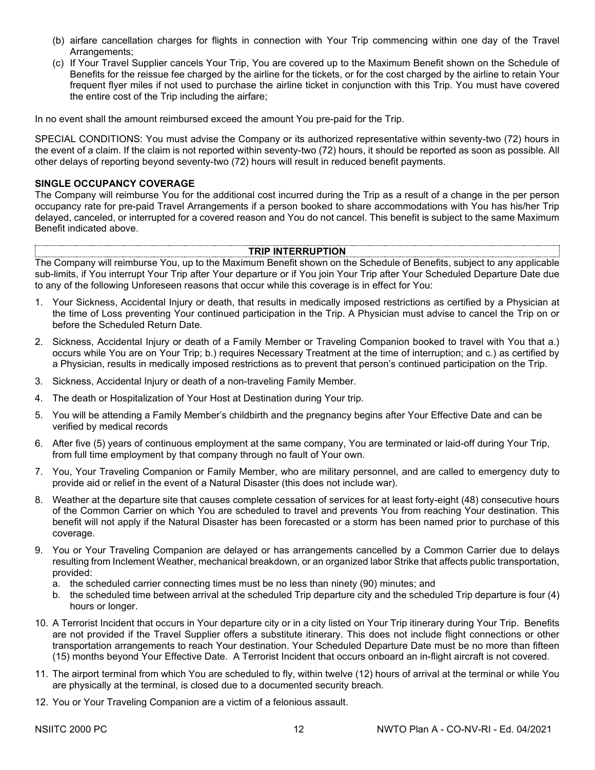- (b) airfare cancellation charges for flights in connection with Your Trip commencing within one day of the Travel Arrangements;
- (c) If Your Travel Supplier cancels Your Trip, You are covered up to the Maximum Benefit shown on the Schedule of Benefits for the reissue fee charged by the airline for the tickets, or for the cost charged by the airline to retain Your frequent flyer miles if not used to purchase the airline ticket in conjunction with this Trip. You must have covered the entire cost of the Trip including the airfare;

In no event shall the amount reimbursed exceed the amount You pre-paid for the Trip.

SPECIAL CONDITIONS: You must advise the Company or its authorized representative within seventy-two (72) hours in the event of a claim. If the claim is not reported within seventy-two (72) hours, it should be reported as soon as possible. All other delays of reporting beyond seventy-two (72) hours will result in reduced benefit payments.

#### **SINGLE OCCUPANCY COVERAGE**

The Company will reimburse You for the additional cost incurred during the Trip as a result of a change in the per person occupancy rate for pre-paid Travel Arrangements if a person booked to share accommodations with You has his/her Trip delayed, canceled, or interrupted for a covered reason and You do not cancel. This benefit is subject to the same Maximum Benefit indicated above.

#### **TRIP INTERRUPTION**

The Company will reimburse You, up to the Maximum Benefit shown on the Schedule of Benefits, subject to any applicable sub-limits, if You interrupt Your Trip after Your departure or if You join Your Trip after Your Scheduled Departure Date due to any of the following Unforeseen reasons that occur while this coverage is in effect for You:

- 1. Your Sickness, Accidental Injury or death, that results in medically imposed restrictions as certified by a Physician at the time of Loss preventing Your continued participation in the Trip. A Physician must advise to cancel the Trip on or before the Scheduled Return Date.
- 2. Sickness, Accidental Injury or death of a Family Member or Traveling Companion booked to travel with You that a.) occurs while You are on Your Trip; b.) requires Necessary Treatment at the time of interruption; and c.) as certified by a Physician, results in medically imposed restrictions as to prevent that person's continued participation on the Trip.
- 3. Sickness, Accidental Injury or death of a non-traveling Family Member.
- 4. The death or Hospitalization of Your Host at Destination during Your trip.
- 5. You will be attending a Family Member's childbirth and the pregnancy begins after Your Effective Date and can be verified by medical records
- 6. After five (5) years of continuous employment at the same company, You are terminated or laid-off during Your Trip, from full time employment by that company through no fault of Your own.
- 7. You, Your Traveling Companion or Family Member, who are military personnel, and are called to emergency duty to provide aid or relief in the event of a Natural Disaster (this does not include war).
- 8. Weather at the departure site that causes complete cessation of services for at least forty-eight (48) consecutive hours of the Common Carrier on which You are scheduled to travel and prevents You from reaching Your destination. This benefit will not apply if the Natural Disaster has been forecasted or a storm has been named prior to purchase of this coverage.
- 9. You or Your Traveling Companion are delayed or has arrangements cancelled by a Common Carrier due to delays resulting from Inclement Weather, mechanical breakdown, or an organized labor Strike that affects public transportation, provided:
	- a. the scheduled carrier connecting times must be no less than ninety (90) minutes; and
	- b. the scheduled time between arrival at the scheduled Trip departure city and the scheduled Trip departure is four (4) hours or longer.
- 10. A Terrorist Incident that occurs in Your departure city or in a city listed on Your Trip itinerary during Your Trip. Benefits are not provided if the Travel Supplier offers a substitute itinerary. This does not include flight connections or other transportation arrangements to reach Your destination. Your Scheduled Departure Date must be no more than fifteen (15) months beyond Your Effective Date. A Terrorist Incident that occurs onboard an in-flight aircraft is not covered.
- 11. The airport terminal from which You are scheduled to fly, within twelve (12) hours of arrival at the terminal or while You are physically at the terminal, is closed due to a documented security breach.
- 12. You or Your Traveling Companion are a victim of a felonious assault.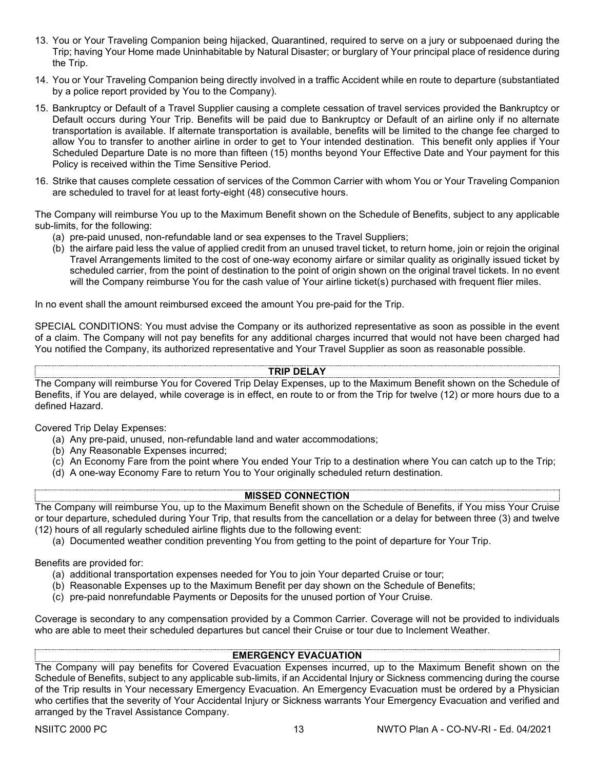- 13. You or Your Traveling Companion being hijacked, Quarantined, required to serve on a jury or subpoenaed during the Trip; having Your Home made Uninhabitable by Natural Disaster; or burglary of Your principal place of residence during the Trip.
- 14. You or Your Traveling Companion being directly involved in a traffic Accident while en route to departure (substantiated by a police report provided by You to the Company).
- 15. Bankruptcy or Default of a Travel Supplier causing a complete cessation of travel services provided the Bankruptcy or Default occurs during Your Trip. Benefits will be paid due to Bankruptcy or Default of an airline only if no alternate transportation is available. If alternate transportation is available, benefits will be limited to the change fee charged to allow You to transfer to another airline in order to get to Your intended destination. This benefit only applies if Your Scheduled Departure Date is no more than fifteen (15) months beyond Your Effective Date and Your payment for this Policy is received within the Time Sensitive Period.
- 16. Strike that causes complete cessation of services of the Common Carrier with whom You or Your Traveling Companion are scheduled to travel for at least forty-eight (48) consecutive hours.

The Company will reimburse You up to the Maximum Benefit shown on the Schedule of Benefits, subject to any applicable sub-limits, for the following:

- (a) pre-paid unused, non-refundable land or sea expenses to the Travel Suppliers;
- (b) the airfare paid less the value of applied credit from an unused travel ticket, to return home, join or rejoin the original Travel Arrangements limited to the cost of one-way economy airfare or similar quality as originally issued ticket by scheduled carrier, from the point of destination to the point of origin shown on the original travel tickets. In no event will the Company reimburse You for the cash value of Your airline ticket(s) purchased with frequent flier miles.

In no event shall the amount reimbursed exceed the amount You pre-paid for the Trip.

SPECIAL CONDITIONS: You must advise the Company or its authorized representative as soon as possible in the event of a claim. The Company will not pay benefits for any additional charges incurred that would not have been charged had You notified the Company, its authorized representative and Your Travel Supplier as soon as reasonable possible.

## **TRIP DELAY**

The Company will reimburse You for Covered Trip Delay Expenses, up to the Maximum Benefit shown on the Schedule of Benefits, if You are delayed, while coverage is in effect, en route to or from the Trip for twelve (12) or more hours due to a defined Hazard.

Covered Trip Delay Expenses:

- (a) Any pre-paid, unused, non-refundable land and water accommodations;
- (b) Any Reasonable Expenses incurred;
- (c) An Economy Fare from the point where You ended Your Trip to a destination where You can catch up to the Trip;
- (d) A one-way Economy Fare to return You to Your originally scheduled return destination.

#### **MISSED CONNECTION**

The Company will reimburse You, up to the Maximum Benefit shown on the Schedule of Benefits, if You miss Your Cruise or tour departure, scheduled during Your Trip, that results from the cancellation or a delay for between three (3) and twelve (12) hours of all regularly scheduled airline flights due to the following event:

(a) Documented weather condition preventing You from getting to the point of departure for Your Trip.

Benefits are provided for:

- (a) additional transportation expenses needed for You to join Your departed Cruise or tour;
- (b) Reasonable Expenses up to the Maximum Benefit per day shown on the Schedule of Benefits;
- (c) pre-paid nonrefundable Payments or Deposits for the unused portion of Your Cruise.

Coverage is secondary to any compensation provided by a Common Carrier. Coverage will not be provided to individuals who are able to meet their scheduled departures but cancel their Cruise or tour due to Inclement Weather.

#### **EMERGENCY EVACUATION**

The Company will pay benefits for Covered Evacuation Expenses incurred, up to the Maximum Benefit shown on the Schedule of Benefits, subject to any applicable sub-limits, if an Accidental Injury or Sickness commencing during the course of the Trip results in Your necessary Emergency Evacuation. An Emergency Evacuation must be ordered by a Physician who certifies that the severity of Your Accidental Injury or Sickness warrants Your Emergency Evacuation and verified and arranged by the Travel Assistance Company.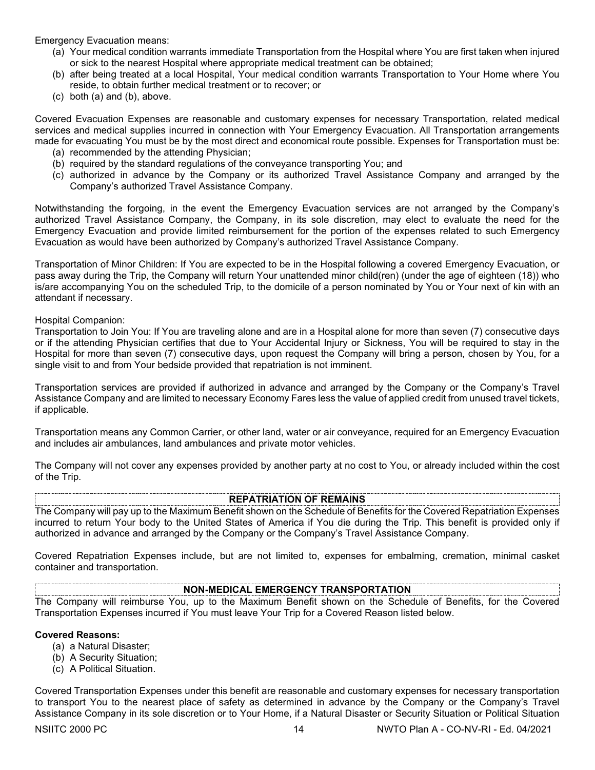Emergency Evacuation means:

- (a) Your medical condition warrants immediate Transportation from the Hospital where You are first taken when injured or sick to the nearest Hospital where appropriate medical treatment can be obtained;
- (b) after being treated at a local Hospital, Your medical condition warrants Transportation to Your Home where You reside, to obtain further medical treatment or to recover; or
- (c) both (a) and (b), above.

Covered Evacuation Expenses are reasonable and customary expenses for necessary Transportation, related medical services and medical supplies incurred in connection with Your Emergency Evacuation. All Transportation arrangements made for evacuating You must be by the most direct and economical route possible. Expenses for Transportation must be:

- (a) recommended by the attending Physician;
- (b) required by the standard regulations of the conveyance transporting You; and
- (c) authorized in advance by the Company or its authorized Travel Assistance Company and arranged by the Company's authorized Travel Assistance Company.

Notwithstanding the forgoing, in the event the Emergency Evacuation services are not arranged by the Company's authorized Travel Assistance Company, the Company, in its sole discretion, may elect to evaluate the need for the Emergency Evacuation and provide limited reimbursement for the portion of the expenses related to such Emergency Evacuation as would have been authorized by Company's authorized Travel Assistance Company.

Transportation of Minor Children: If You are expected to be in the Hospital following a covered Emergency Evacuation, or pass away during the Trip, the Company will return Your unattended minor child(ren) (under the age of eighteen (18)) who is/are accompanying You on the scheduled Trip, to the domicile of a person nominated by You or Your next of kin with an attendant if necessary.

Hospital Companion:

Transportation to Join You: If You are traveling alone and are in a Hospital alone for more than seven (7) consecutive days or if the attending Physician certifies that due to Your Accidental Injury or Sickness, You will be required to stay in the Hospital for more than seven (7) consecutive days, upon request the Company will bring a person, chosen by You, for a single visit to and from Your bedside provided that repatriation is not imminent.

Transportation services are provided if authorized in advance and arranged by the Company or the Company's Travel Assistance Company and are limited to necessary Economy Fares less the value of applied credit from unused travel tickets, if applicable.

Transportation means any Common Carrier, or other land, water or air conveyance, required for an Emergency Evacuation and includes air ambulances, land ambulances and private motor vehicles.

The Company will not cover any expenses provided by another party at no cost to You, or already included within the cost of the Trip.

#### **REPATRIATION OF REMAINS**

The Company will pay up to the Maximum Benefit shown on the Schedule of Benefits for the Covered Repatriation Expenses incurred to return Your body to the United States of America if You die during the Trip. This benefit is provided only if authorized in advance and arranged by the Company or the Company's Travel Assistance Company.

Covered Repatriation Expenses include, but are not limited to, expenses for embalming, cremation, minimal casket container and transportation.

#### **NON-MEDICAL EMERGENCY TRANSPORTATION**

The Company will reimburse You, up to the Maximum Benefit shown on the Schedule of Benefits, for the Covered Transportation Expenses incurred if You must leave Your Trip for a Covered Reason listed below.

#### **Covered Reasons:**

- (a) a Natural Disaster;
- (b) A Security Situation;
- (c) A Political Situation.

Covered Transportation Expenses under this benefit are reasonable and customary expenses for necessary transportation to transport You to the nearest place of safety as determined in advance by the Company or the Company's Travel Assistance Company in its sole discretion or to Your Home, if a Natural Disaster or Security Situation or Political Situation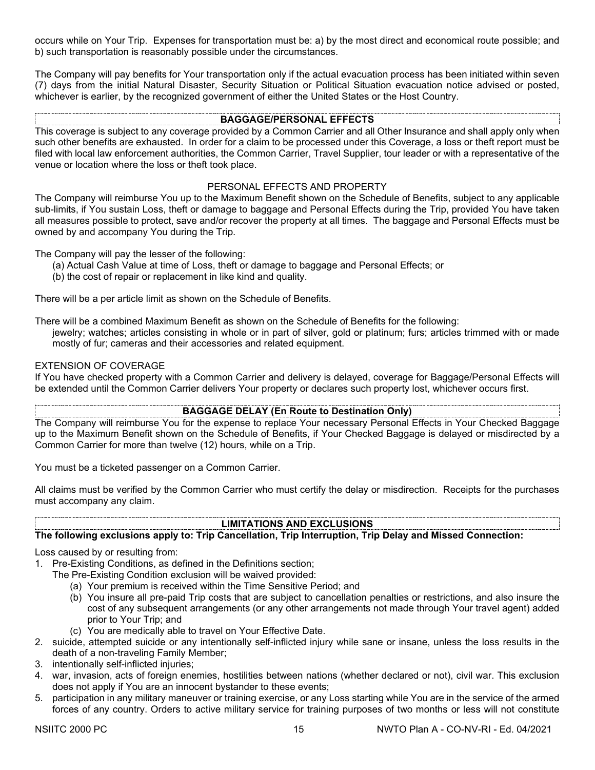occurs while on Your Trip. Expenses for transportation must be: a) by the most direct and economical route possible; and b) such transportation is reasonably possible under the circumstances.

The Company will pay benefits for Your transportation only if the actual evacuation process has been initiated within seven (7) days from the initial Natural Disaster, Security Situation or Political Situation evacuation notice advised or posted, whichever is earlier, by the recognized government of either the United States or the Host Country.

#### **BAGGAGE/PERSONAL EFFECTS**

This coverage is subject to any coverage provided by a Common Carrier and all Other Insurance and shall apply only when such other benefits are exhausted. In order for a claim to be processed under this Coverage, a loss or theft report must be filed with local law enforcement authorities, the Common Carrier, Travel Supplier, tour leader or with a representative of the venue or location where the loss or theft took place.

#### PERSONAL EFFECTS AND PROPERTY

The Company will reimburse You up to the Maximum Benefit shown on the Schedule of Benefits, subject to any applicable sub-limits, if You sustain Loss, theft or damage to baggage and Personal Effects during the Trip, provided You have taken all measures possible to protect, save and/or recover the property at all times. The baggage and Personal Effects must be owned by and accompany You during the Trip.

The Company will pay the lesser of the following:

- (a) Actual Cash Value at time of Loss, theft or damage to baggage and Personal Effects; or
- (b) the cost of repair or replacement in like kind and quality.

There will be a per article limit as shown on the Schedule of Benefits.

There will be a combined Maximum Benefit as shown on the Schedule of Benefits for the following:

jewelry; watches; articles consisting in whole or in part of silver, gold or platinum; furs; articles trimmed with or made mostly of fur; cameras and their accessories and related equipment.

#### EXTENSION OF COVERAGE

If You have checked property with a Common Carrier and delivery is delayed, coverage for Baggage/Personal Effects will be extended until the Common Carrier delivers Your property or declares such property lost, whichever occurs first.

#### **BAGGAGE DELAY (En Route to Destination Only)**

The Company will reimburse You for the expense to replace Your necessary Personal Effects in Your Checked Baggage up to the Maximum Benefit shown on the Schedule of Benefits, if Your Checked Baggage is delayed or misdirected by a Common Carrier for more than twelve (12) hours, while on a Trip.

You must be a ticketed passenger on a Common Carrier.

All claims must be verified by the Common Carrier who must certify the delay or misdirection. Receipts for the purchases must accompany any claim.

### **LIMITATIONS AND EXCLUSIONS**

#### **The following exclusions apply to: Trip Cancellation, Trip Interruption, Trip Delay and Missed Connection:**

Loss caused by or resulting from:

- 1. Pre-Existing Conditions, as defined in the Definitions section;
	- The Pre-Existing Condition exclusion will be waived provided:
		- (a) Your premium is received within the Time Sensitive Period; and
		- (b) You insure all pre-paid Trip costs that are subject to cancellation penalties or restrictions, and also insure the cost of any subsequent arrangements (or any other arrangements not made through Your travel agent) added prior to Your Trip; and
		- (c) You are medically able to travel on Your Effective Date.
- 2. suicide, attempted suicide or any intentionally self-inflicted injury while sane or insane, unless the loss results in the death of a non-traveling Family Member;
- 3. intentionally self-inflicted injuries;
- 4. war, invasion, acts of foreign enemies, hostilities between nations (whether declared or not), civil war. This exclusion does not apply if You are an innocent bystander to these events;
- 5. participation in any military maneuver or training exercise, or any Loss starting while You are in the service of the armed forces of any country. Orders to active military service for training purposes of two months or less will not constitute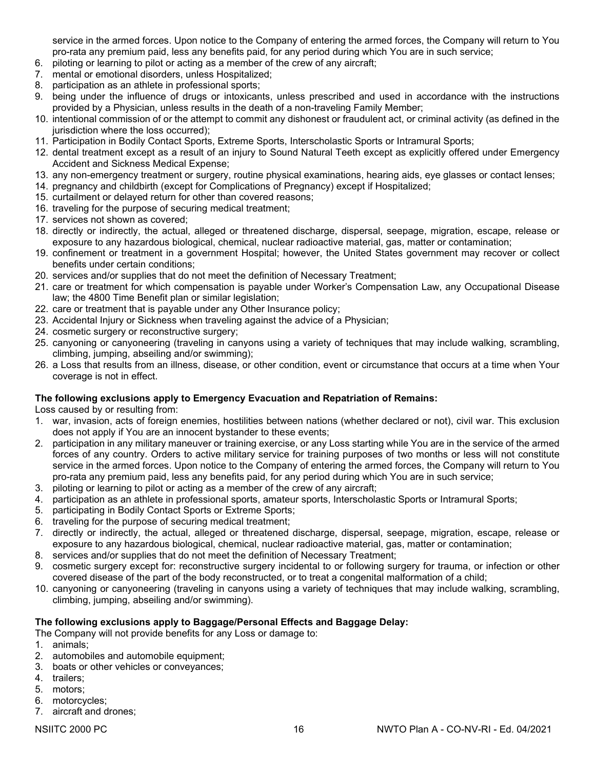service in the armed forces. Upon notice to the Company of entering the armed forces, the Company will return to You pro-rata any premium paid, less any benefits paid, for any period during which You are in such service;

- 6. piloting or learning to pilot or acting as a member of the crew of any aircraft;
- 7. mental or emotional disorders, unless Hospitalized;
- 8. participation as an athlete in professional sports;
- 9. being under the influence of drugs or intoxicants, unless prescribed and used in accordance with the instructions provided by a Physician, unless results in the death of a non-traveling Family Member;
- 10. intentional commission of or the attempt to commit any dishonest or fraudulent act, or criminal activity (as defined in the jurisdiction where the loss occurred);
- 11. Participation in Bodily Contact Sports, Extreme Sports, Interscholastic Sports or Intramural Sports;
- 12. dental treatment except as a result of an injury to Sound Natural Teeth except as explicitly offered under Emergency Accident and Sickness Medical Expense;
- 13. any non-emergency treatment or surgery, routine physical examinations, hearing aids, eye glasses or contact lenses;
- 14. pregnancy and childbirth (except for Complications of Pregnancy) except if Hospitalized;
- 15. curtailment or delayed return for other than covered reasons;
- 16. traveling for the purpose of securing medical treatment;
- 17. services not shown as covered;
- 18. directly or indirectly, the actual, alleged or threatened discharge, dispersal, seepage, migration, escape, release or exposure to any hazardous biological, chemical, nuclear radioactive material, gas, matter or contamination;
- 19. confinement or treatment in a government Hospital; however, the United States government may recover or collect benefits under certain conditions;
- 20. services and/or supplies that do not meet the definition of Necessary Treatment;
- 21. care or treatment for which compensation is payable under Worker's Compensation Law, any Occupational Disease law; the 4800 Time Benefit plan or similar legislation;
- 22. care or treatment that is payable under any Other Insurance policy;
- 23. Accidental Injury or Sickness when traveling against the advice of a Physician;
- 24. cosmetic surgery or reconstructive surgery;
- 25. canyoning or canyoneering (traveling in canyons using a variety of techniques that may include walking, scrambling, climbing, jumping, abseiling and/or swimming);
- 26. a Loss that results from an illness, disease, or other condition, event or circumstance that occurs at a time when Your coverage is not in effect.

#### **The following exclusions apply to Emergency Evacuation and Repatriation of Remains:**

Loss caused by or resulting from:

- 1. war, invasion, acts of foreign enemies, hostilities between nations (whether declared or not), civil war. This exclusion does not apply if You are an innocent bystander to these events;
- 2. participation in any military maneuver or training exercise, or any Loss starting while You are in the service of the armed forces of any country. Orders to active military service for training purposes of two months or less will not constitute service in the armed forces. Upon notice to the Company of entering the armed forces, the Company will return to You pro-rata any premium paid, less any benefits paid, for any period during which You are in such service;
- 3. piloting or learning to pilot or acting as a member of the crew of any aircraft;
- 4. participation as an athlete in professional sports, amateur sports, Interscholastic Sports or Intramural Sports;
- 5. participating in Bodily Contact Sports or Extreme Sports;
- 6. traveling for the purpose of securing medical treatment;
- 7. directly or indirectly, the actual, alleged or threatened discharge, dispersal, seepage, migration, escape, release or exposure to any hazardous biological, chemical, nuclear radioactive material, gas, matter or contamination;
- 8. services and/or supplies that do not meet the definition of Necessary Treatment;
- 9. cosmetic surgery except for: reconstructive surgery incidental to or following surgery for trauma, or infection or other covered disease of the part of the body reconstructed, or to treat a congenital malformation of a child;
- 10. canyoning or canyoneering (traveling in canyons using a variety of techniques that may include walking, scrambling, climbing, jumping, abseiling and/or swimming).

#### **The following exclusions apply to Baggage/Personal Effects and Baggage Delay:**

The Company will not provide benefits for any Loss or damage to:

- 1. animals;
- 2. automobiles and automobile equipment;
- 3. boats or other vehicles or conveyances;
- 4. trailers;
- 5. motors;
- 6. motorcycles;
- 7. aircraft and drones;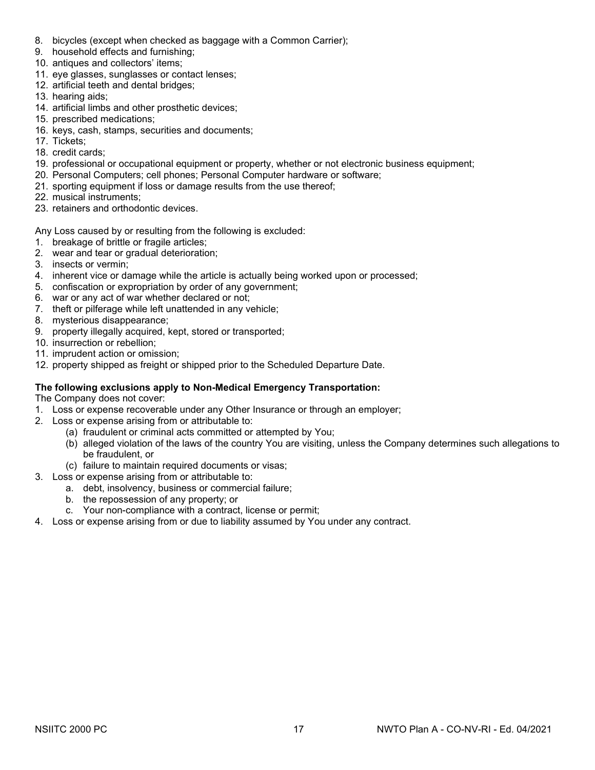- 8. bicycles (except when checked as baggage with a Common Carrier);
- 9. household effects and furnishing;
- 10. antiques and collectors' items;
- 11. eye glasses, sunglasses or contact lenses;
- 12. artificial teeth and dental bridges;
- 13. hearing aids;
- 14. artificial limbs and other prosthetic devices;
- 15. prescribed medications;
- 16. keys, cash, stamps, securities and documents;
- 17. Tickets;
- 18. credit cards;
- 19. professional or occupational equipment or property, whether or not electronic business equipment;
- 20. Personal Computers; cell phones; Personal Computer hardware or software;
- 21. sporting equipment if loss or damage results from the use thereof;
- 22. musical instruments;
- 23. retainers and orthodontic devices.

Any Loss caused by or resulting from the following is excluded:

- 1. breakage of brittle or fragile articles;
- 2. wear and tear or gradual deterioration;
- 3. insects or vermin;
- 4. inherent vice or damage while the article is actually being worked upon or processed;
- 5. confiscation or expropriation by order of any government;
- 6. war or any act of war whether declared or not;
- 7. theft or pilferage while left unattended in any vehicle;
- 8. mysterious disappearance;
- 9. property illegally acquired, kept, stored or transported;
- 10. insurrection or rebellion;
- 11. imprudent action or omission;
- 12. property shipped as freight or shipped prior to the Scheduled Departure Date.

#### **The following exclusions apply to Non-Medical Emergency Transportation:**

The Company does not cover:

- 1. Loss or expense recoverable under any Other Insurance or through an employer;
- 2. Loss or expense arising from or attributable to:
	- (a) fraudulent or criminal acts committed or attempted by You;
	- (b) alleged violation of the laws of the country You are visiting, unless the Company determines such allegations to be fraudulent, or
	- (c) failure to maintain required documents or visas;
- 3. Loss or expense arising from or attributable to:
	- a. debt, insolvency, business or commercial failure;
	- b. the repossession of any property; or
	- c. Your non-compliance with a contract, license or permit;
- 4. Loss or expense arising from or due to liability assumed by You under any contract.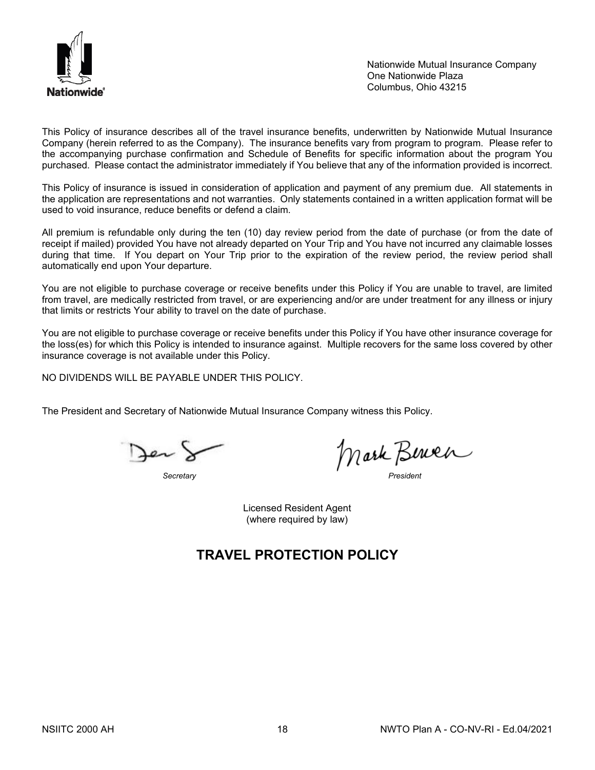

Nationwide Mutual Insurance Company One Nationwide Plaza Columbus, Ohio 43215

This Policy of insurance describes all of the travel insurance benefits, underwritten by Nationwide Mutual Insurance Company (herein referred to as the Company). The insurance benefits vary from program to program. Please refer to the accompanying purchase confirmation and Schedule of Benefits for specific information about the program You purchased. Please contact the administrator immediately if You believe that any of the information provided is incorrect.

This Policy of insurance is issued in consideration of application and payment of any premium due. All statements in the application are representations and not warranties. Only statements contained in a written application format will be used to void insurance, reduce benefits or defend a claim.

All premium is refundable only during the ten (10) day review period from the date of purchase (or from the date of receipt if mailed) provided You have not already departed on Your Trip and You have not incurred any claimable losses during that time. If You depart on Your Trip prior to the expiration of the review period, the review period shall automatically end upon Your departure.

You are not eligible to purchase coverage or receive benefits under this Policy if You are unable to travel, are limited from travel, are medically restricted from travel, or are experiencing and/or are under treatment for any illness or injury that limits or restricts Your ability to travel on the date of purchase.

You are not eligible to purchase coverage or receive benefits under this Policy if You have other insurance coverage for the loss(es) for which this Policy is intended to insurance against. Multiple recovers for the same loss covered by other insurance coverage is not available under this Policy.

NO DIVIDENDS WILL BE PAYABLE UNDER THIS POLICY.

The President and Secretary of Nationwide Mutual Insurance Company witness this Policy.

Jen)

*Secretary President*

Licensed Resident Agent (where required by law)

# **TRAVEL PROTECTION POLICY**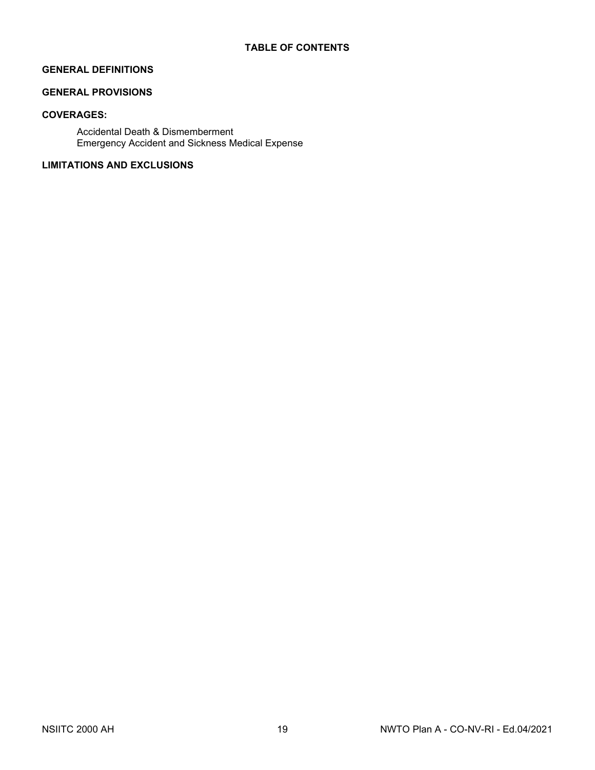### **GENERAL DEFINITIONS**

# **GENERAL PROVISIONS**

## **COVERAGES:**

Accidental Death & Dismemberment Emergency Accident and Sickness Medical Expense

### **LIMITATIONS AND EXCLUSIONS**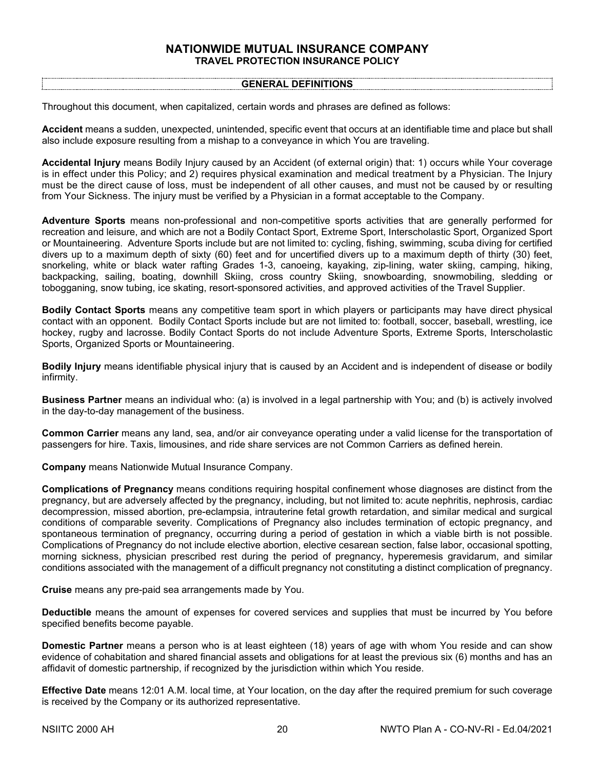#### **NATIONWIDE MUTUAL INSURANCE COMPANY TRAVEL PROTECTION INSURANCE POLICY**

#### **GENERAL DEFINITIONS**

Throughout this document, when capitalized, certain words and phrases are defined as follows:

**Accident** means a sudden, unexpected, unintended, specific event that occurs at an identifiable time and place but shall also include exposure resulting from a mishap to a conveyance in which You are traveling.

**Accidental Injury** means Bodily Injury caused by an Accident (of external origin) that: 1) occurs while Your coverage is in effect under this Policy; and 2) requires physical examination and medical treatment by a Physician. The Injury must be the direct cause of loss, must be independent of all other causes, and must not be caused by or resulting from Your Sickness. The injury must be verified by a Physician in a format acceptable to the Company.

**Adventure Sports** means non-professional and non-competitive sports activities that are generally performed for recreation and leisure, and which are not a Bodily Contact Sport, Extreme Sport, Interscholastic Sport, Organized Sport or Mountaineering. Adventure Sports include but are not limited to: cycling, fishing, swimming, scuba diving for certified divers up to a maximum depth of sixty (60) feet and for uncertified divers up to a maximum depth of thirty (30) feet, snorkeling, white or black water rafting Grades 1-3, canoeing, kayaking, zip-lining, water skiing, camping, hiking, backpacking, sailing, boating, downhill Skiing, cross country Skiing, snowboarding, snowmobiling, sledding or tobogganing, snow tubing, ice skating, resort-sponsored activities, and approved activities of the Travel Supplier.

**Bodily Contact Sports** means any competitive team sport in which players or participants may have direct physical contact with an opponent. Bodily Contact Sports include but are not limited to: football, soccer, baseball, wrestling, ice hockey, rugby and lacrosse. Bodily Contact Sports do not include Adventure Sports, Extreme Sports, Interscholastic Sports, Organized Sports or Mountaineering.

**Bodily Injury** means identifiable physical injury that is caused by an Accident and is independent of disease or bodily infirmity.

**Business Partner** means an individual who: (a) is involved in a legal partnership with You; and (b) is actively involved in the day-to-day management of the business.

**Common Carrier** means any land, sea, and/or air conveyance operating under a valid license for the transportation of passengers for hire. Taxis, limousines, and ride share services are not Common Carriers as defined herein.

**Company** means Nationwide Mutual Insurance Company.

**Complications of Pregnancy** means conditions requiring hospital confinement whose diagnoses are distinct from the pregnancy, but are adversely affected by the pregnancy, including, but not limited to: acute nephritis, nephrosis, cardiac decompression, missed abortion, pre-eclampsia, intrauterine fetal growth retardation, and similar medical and surgical conditions of comparable severity. Complications of Pregnancy also includes termination of ectopic pregnancy, and spontaneous termination of pregnancy, occurring during a period of gestation in which a viable birth is not possible. Complications of Pregnancy do not include elective abortion, elective cesarean section, false labor, occasional spotting, morning sickness, physician prescribed rest during the period of pregnancy, hyperemesis gravidarum, and similar conditions associated with the management of a difficult pregnancy not constituting a distinct complication of pregnancy.

**Cruise** means any pre-paid sea arrangements made by You.

**Deductible** means the amount of expenses for covered services and supplies that must be incurred by You before specified benefits become payable.

**Domestic Partner** means a person who is at least eighteen (18) years of age with whom You reside and can show evidence of cohabitation and shared financial assets and obligations for at least the previous six (6) months and has an affidavit of domestic partnership, if recognized by the jurisdiction within which You reside.

**Effective Date** means 12:01 A.M. local time, at Your location, on the day after the required premium for such coverage is received by the Company or its authorized representative.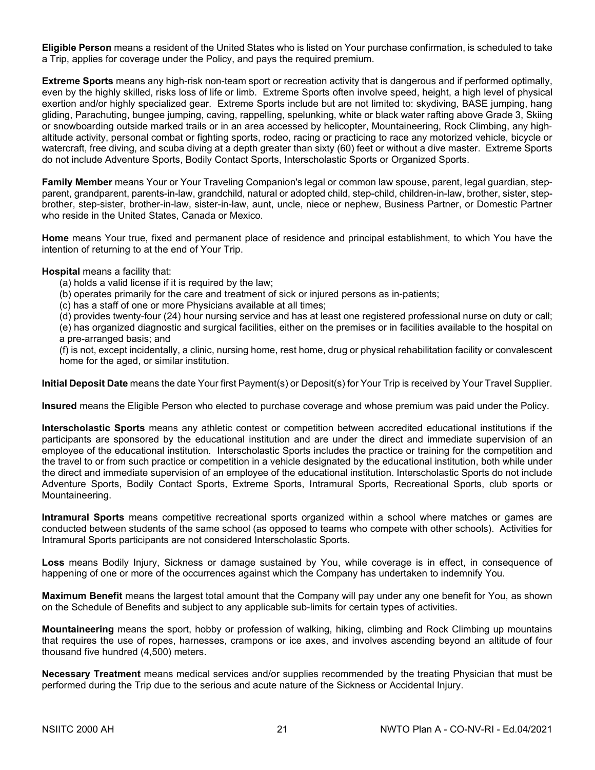**Eligible Person** means a resident of the United States who is listed on Your purchase confirmation, is scheduled to take a Trip, applies for coverage under the Policy, and pays the required premium.

**Extreme Sports** means any high-risk non-team sport or recreation activity that is dangerous and if performed optimally, even by the highly skilled, risks loss of life or limb. Extreme Sports often involve speed, height, a high level of physical exertion and/or highly specialized gear. Extreme Sports include but are not limited to: skydiving, BASE jumping, hang gliding, Parachuting, bungee jumping, caving, rappelling, spelunking, white or black water rafting above Grade 3, Skiing or snowboarding outside marked trails or in an area accessed by helicopter, Mountaineering, Rock Climbing, any high‐ altitude activity, personal combat or fighting sports, rodeo, racing or practicing to race any motorized vehicle, bicycle or watercraft, free diving, and scuba diving at a depth greater than sixty (60) feet or without a dive master. Extreme Sports do not include Adventure Sports, Bodily Contact Sports, Interscholastic Sports or Organized Sports.

**Family Member** means Your or Your Traveling Companion's legal or common law spouse, parent, legal guardian, stepparent, grandparent, parents-in-law, grandchild, natural or adopted child, step-child, children-in-law, brother, sister, stepbrother, step-sister, brother-in-law, sister-in-law, aunt, uncle, niece or nephew, Business Partner, or Domestic Partner who reside in the United States, Canada or Mexico.

**Home** means Your true, fixed and permanent place of residence and principal establishment, to which You have the intention of returning to at the end of Your Trip.

#### **Hospital** means a facility that:

- (a) holds a valid license if it is required by the law;
- (b) operates primarily for the care and treatment of sick or injured persons as in-patients;
- (c) has a staff of one or more Physicians available at all times;

(d) provides twenty-four (24) hour nursing service and has at least one registered professional nurse on duty or call; (e) has organized diagnostic and surgical facilities, either on the premises or in facilities available to the hospital on

a pre-arranged basis; and

(f) is not, except incidentally, a clinic, nursing home, rest home, drug or physical rehabilitation facility or convalescent home for the aged, or similar institution.

**Initial Deposit Date** means the date Your first Payment(s) or Deposit(s) for Your Trip is received by Your Travel Supplier.

**Insured** means the Eligible Person who elected to purchase coverage and whose premium was paid under the Policy.

**Interscholastic Sports** means any athletic contest or competition between accredited educational institutions if the participants are sponsored by the educational institution and are under the direct and immediate supervision of an employee of the educational institution. Interscholastic Sports includes the practice or training for the competition and the travel to or from such practice or competition in a vehicle designated by the educational institution, both while under the direct and immediate supervision of an employee of the educational institution. Interscholastic Sports do not include Adventure Sports, Bodily Contact Sports, Extreme Sports, Intramural Sports, Recreational Sports, club sports or Mountaineering.

**Intramural Sports** means competitive recreational sports organized within a school where matches or games are conducted between students of the same school (as opposed to teams who compete with other schools). Activities for Intramural Sports participants are not considered Interscholastic Sports.

**Loss** means Bodily Injury, Sickness or damage sustained by You, while coverage is in effect, in consequence of happening of one or more of the occurrences against which the Company has undertaken to indemnify You.

**Maximum Benefit** means the largest total amount that the Company will pay under any one benefit for You, as shown on the Schedule of Benefits and subject to any applicable sub-limits for certain types of activities.

**Mountaineering** means the sport, hobby or profession of walking, hiking, climbing and Rock Climbing up mountains that requires the use of ropes, harnesses, crampons or ice axes, and involves ascending beyond an altitude of four thousand five hundred (4,500) meters.

**Necessary Treatment** means medical services and/or supplies recommended by the treating Physician that must be performed during the Trip due to the serious and acute nature of the Sickness or Accidental Injury.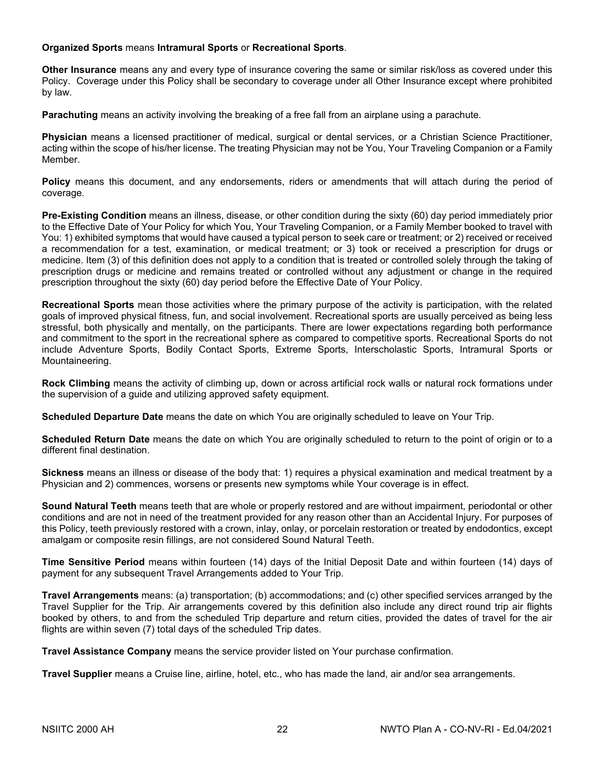#### **Organized Sports** means **Intramural Sports** or **Recreational Sports**.

**Other Insurance** means any and every type of insurance covering the same or similar risk/loss as covered under this Policy. Coverage under this Policy shall be secondary to coverage under all Other Insurance except where prohibited by law.

**Parachuting** means an activity involving the breaking of a free fall from an airplane using a parachute.

**Physician** means a licensed practitioner of medical, surgical or dental services, or a Christian Science Practitioner, acting within the scope of his/her license. The treating Physician may not be You, Your Traveling Companion or a Family Member.

**Policy** means this document, and any endorsements, riders or amendments that will attach during the period of coverage.

**Pre-Existing Condition** means an illness, disease, or other condition during the sixty (60) day period immediately prior to the Effective Date of Your Policy for which You, Your Traveling Companion, or a Family Member booked to travel with You: 1) exhibited symptoms that would have caused a typical person to seek care or treatment; or 2) received or received a recommendation for a test, examination, or medical treatment; or 3) took or received a prescription for drugs or medicine. Item (3) of this definition does not apply to a condition that is treated or controlled solely through the taking of prescription drugs or medicine and remains treated or controlled without any adjustment or change in the required prescription throughout the sixty (60) day period before the Effective Date of Your Policy.

**Recreational Sports** mean those activities where the primary purpose of the activity is participation, with the related goals of improved physical fitness, fun, and social involvement. Recreational sports are usually perceived as being less stressful, both physically and mentally, on the participants. There are lower expectations regarding both performance and commitment to the sport in the recreational sphere as compared to competitive sports. Recreational Sports do not include Adventure Sports, Bodily Contact Sports, Extreme Sports, Interscholastic Sports, Intramural Sports or Mountaineering.

**Rock Climbing** means the activity of climbing up, down or across artificial rock walls or natural rock formations under the supervision of a guide and utilizing approved safety equipment.

**Scheduled Departure Date** means the date on which You are originally scheduled to leave on Your Trip.

**Scheduled Return Date** means the date on which You are originally scheduled to return to the point of origin or to a different final destination.

**Sickness** means an illness or disease of the body that: 1) requires a physical examination and medical treatment by a Physician and 2) commences, worsens or presents new symptoms while Your coverage is in effect.

**Sound Natural Teeth** means teeth that are whole or properly restored and are without impairment, periodontal or other conditions and are not in need of the treatment provided for any reason other than an Accidental Injury. For purposes of this Policy, teeth previously restored with a crown, inlay, onlay, or porcelain restoration or treated by endodontics, except amalgam or composite resin fillings, are not considered Sound Natural Teeth.

**Time Sensitive Period** means within fourteen (14) days of the Initial Deposit Date and within fourteen (14) days of payment for any subsequent Travel Arrangements added to Your Trip.

**Travel Arrangements** means: (a) transportation; (b) accommodations; and (c) other specified services arranged by the Travel Supplier for the Trip. Air arrangements covered by this definition also include any direct round trip air flights booked by others, to and from the scheduled Trip departure and return cities, provided the dates of travel for the air flights are within seven (7) total days of the scheduled Trip dates.

**Travel Assistance Company** means the service provider listed on Your purchase confirmation.

**Travel Supplier** means a Cruise line, airline, hotel, etc., who has made the land, air and/or sea arrangements.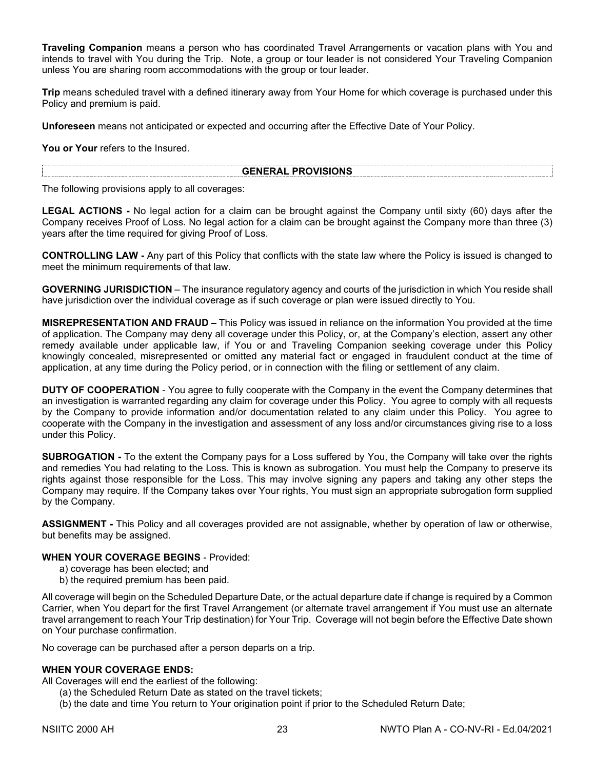**Traveling Companion** means a person who has coordinated Travel Arrangements or vacation plans with You and intends to travel with You during the Trip. Note, a group or tour leader is not considered Your Traveling Companion unless You are sharing room accommodations with the group or tour leader.

**Trip** means scheduled travel with a defined itinerary away from Your Home for which coverage is purchased under this Policy and premium is paid.

**Unforeseen** means not anticipated or expected and occurring after the Effective Date of Your Policy.

**You or Your** refers to the Insured.

#### **GENERAL PROVISIONS**

The following provisions apply to all coverages:

**LEGAL ACTIONS -** No legal action for a claim can be brought against the Company until sixty (60) days after the Company receives Proof of Loss. No legal action for a claim can be brought against the Company more than three (3) years after the time required for giving Proof of Loss.

**CONTROLLING LAW -** Any part of this Policy that conflicts with the state law where the Policy is issued is changed to meet the minimum requirements of that law.

**GOVERNING JURISDICTION** – The insurance regulatory agency and courts of the jurisdiction in which You reside shall have jurisdiction over the individual coverage as if such coverage or plan were issued directly to You.

**MISREPRESENTATION AND FRAUD –** This Policy was issued in reliance on the information You provided at the time of application. The Company may deny all coverage under this Policy, or, at the Company's election, assert any other remedy available under applicable law, if You or and Traveling Companion seeking coverage under this Policy knowingly concealed, misrepresented or omitted any material fact or engaged in fraudulent conduct at the time of application, at any time during the Policy period, or in connection with the filing or settlement of any claim.

**DUTY OF COOPERATION** - You agree to fully cooperate with the Company in the event the Company determines that an investigation is warranted regarding any claim for coverage under this Policy. You agree to comply with all requests by the Company to provide information and/or documentation related to any claim under this Policy. You agree to cooperate with the Company in the investigation and assessment of any loss and/or circumstances giving rise to a loss under this Policy.

**SUBROGATION -** To the extent the Company pays for a Loss suffered by You, the Company will take over the rights and remedies You had relating to the Loss. This is known as subrogation. You must help the Company to preserve its rights against those responsible for the Loss. This may involve signing any papers and taking any other steps the Company may require. If the Company takes over Your rights, You must sign an appropriate subrogation form supplied by the Company.

**ASSIGNMENT -** This Policy and all coverages provided are not assignable, whether by operation of law or otherwise, but benefits may be assigned.

#### **WHEN YOUR COVERAGE BEGINS** - Provided:

- a) coverage has been elected; and
- b) the required premium has been paid.

All coverage will begin on the Scheduled Departure Date, or the actual departure date if change is required by a Common Carrier, when You depart for the first Travel Arrangement (or alternate travel arrangement if You must use an alternate travel arrangement to reach Your Trip destination) for Your Trip. Coverage will not begin before the Effective Date shown on Your purchase confirmation.

No coverage can be purchased after a person departs on a trip.

#### **WHEN YOUR COVERAGE ENDS:**

All Coverages will end the earliest of the following:

- (a) the Scheduled Return Date as stated on the travel tickets;
- (b) the date and time You return to Your origination point if prior to the Scheduled Return Date;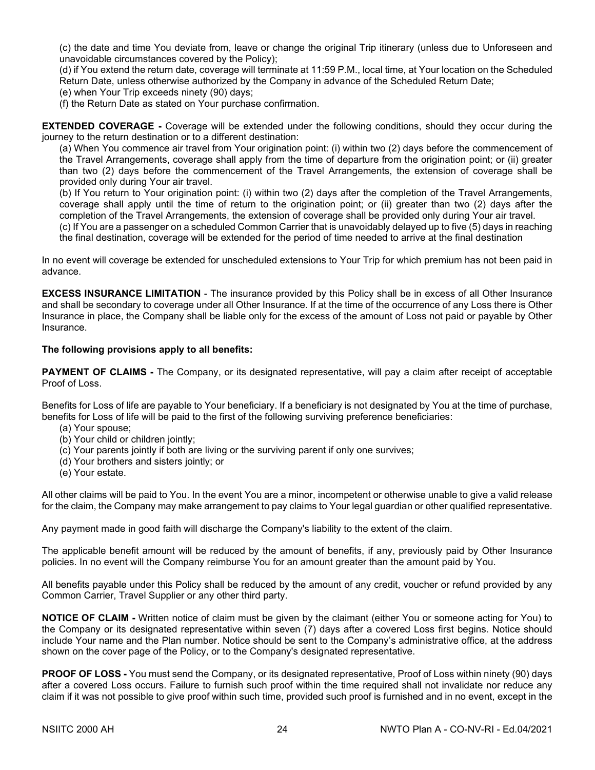(c) the date and time You deviate from, leave or change the original Trip itinerary (unless due to Unforeseen and unavoidable circumstances covered by the Policy);

(d) if You extend the return date, coverage will terminate at 11:59 P.M., local time, at Your location on the Scheduled Return Date, unless otherwise authorized by the Company in advance of the Scheduled Return Date;

(e) when Your Trip exceeds ninety (90) days;

(f) the Return Date as stated on Your purchase confirmation.

**EXTENDED COVERAGE -** Coverage will be extended under the following conditions, should they occur during the journey to the return destination or to a different destination:

(a) When You commence air travel from Your origination point: (i) within two (2) days before the commencement of the Travel Arrangements, coverage shall apply from the time of departure from the origination point; or (ii) greater than two (2) days before the commencement of the Travel Arrangements, the extension of coverage shall be provided only during Your air travel.

(b) If You return to Your origination point: (i) within two (2) days after the completion of the Travel Arrangements, coverage shall apply until the time of return to the origination point; or (ii) greater than two (2) days after the completion of the Travel Arrangements, the extension of coverage shall be provided only during Your air travel.

(c) If You are a passenger on a scheduled Common Carrier that is unavoidably delayed up to five (5) days in reaching the final destination, coverage will be extended for the period of time needed to arrive at the final destination

In no event will coverage be extended for unscheduled extensions to Your Trip for which premium has not been paid in advance.

**EXCESS INSURANCE LIMITATION** - The insurance provided by this Policy shall be in excess of all Other Insurance and shall be secondary to coverage under all Other Insurance. If at the time of the occurrence of any Loss there is Other Insurance in place, the Company shall be liable only for the excess of the amount of Loss not paid or payable by Other **Insurance** 

#### **The following provisions apply to all benefits:**

**PAYMENT OF CLAIMS -** The Company, or its designated representative, will pay a claim after receipt of acceptable Proof of Loss.

Benefits for Loss of life are payable to Your beneficiary. If a beneficiary is not designated by You at the time of purchase, benefits for Loss of life will be paid to the first of the following surviving preference beneficiaries:

- (a) Your spouse;
- (b) Your child or children jointly;
- (c) Your parents jointly if both are living or the surviving parent if only one survives;
- (d) Your brothers and sisters jointly; or
- (e) Your estate.

All other claims will be paid to You. In the event You are a minor, incompetent or otherwise unable to give a valid release for the claim, the Company may make arrangement to pay claims to Your legal guardian or other qualified representative.

Any payment made in good faith will discharge the Company's liability to the extent of the claim.

The applicable benefit amount will be reduced by the amount of benefits, if any, previously paid by Other Insurance policies. In no event will the Company reimburse You for an amount greater than the amount paid by You.

All benefits payable under this Policy shall be reduced by the amount of any credit, voucher or refund provided by any Common Carrier, Travel Supplier or any other third party.

**NOTICE OF CLAIM -** Written notice of claim must be given by the claimant (either You or someone acting for You) to the Company or its designated representative within seven (7) days after a covered Loss first begins. Notice should include Your name and the Plan number. Notice should be sent to the Company's administrative office, at the address shown on the cover page of the Policy, or to the Company's designated representative.

**PROOF OF LOSS -** You must send the Company, or its designated representative, Proof of Loss within ninety (90) days after a covered Loss occurs. Failure to furnish such proof within the time required shall not invalidate nor reduce any claim if it was not possible to give proof within such time, provided such proof is furnished and in no event, except in the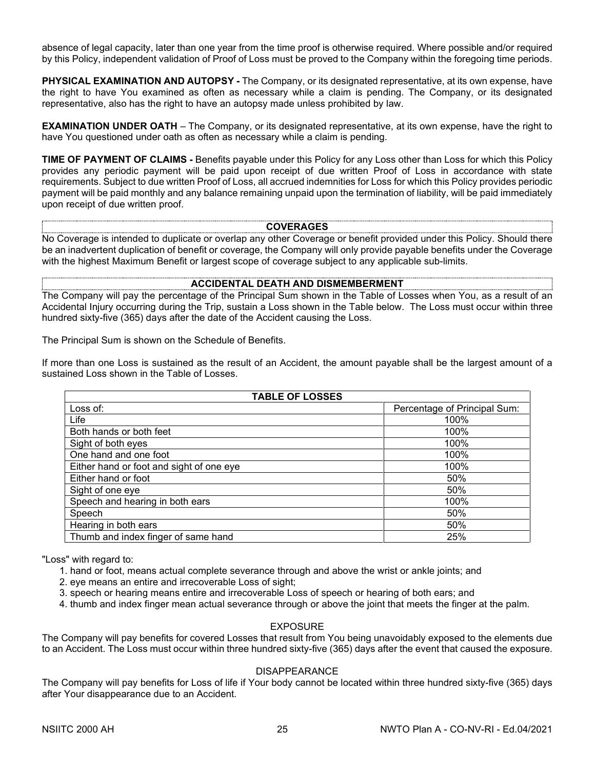absence of legal capacity, later than one year from the time proof is otherwise required. Where possible and/or required by this Policy, independent validation of Proof of Loss must be proved to the Company within the foregoing time periods.

**PHYSICAL EXAMINATION AND AUTOPSY -** The Company, or its designated representative, at its own expense, have the right to have You examined as often as necessary while a claim is pending. The Company, or its designated representative, also has the right to have an autopsy made unless prohibited by law.

**EXAMINATION UNDER OATH** – The Company, or its designated representative, at its own expense, have the right to have You questioned under oath as often as necessary while a claim is pending.

**TIME OF PAYMENT OF CLAIMS -** Benefits payable under this Policy for any Loss other than Loss for which this Policy provides any periodic payment will be paid upon receipt of due written Proof of Loss in accordance with state requirements. Subject to due written Proof of Loss, all accrued indemnities for Loss for which this Policy provides periodic payment will be paid monthly and any balance remaining unpaid upon the termination of liability, will be paid immediately upon receipt of due written proof.

#### **COVERAGES**

No Coverage is intended to duplicate or overlap any other Coverage or benefit provided under this Policy. Should there be an inadvertent duplication of benefit or coverage, the Company will only provide payable benefits under the Coverage with the highest Maximum Benefit or largest scope of coverage subject to any applicable sub-limits.

#### **ACCIDENTAL DEATH AND DISMEMBERMENT**

The Company will pay the percentage of the Principal Sum shown in the Table of Losses when You, as a result of an Accidental Injury occurring during the Trip, sustain a Loss shown in the Table below. The Loss must occur within three hundred sixty-five (365) days after the date of the Accident causing the Loss.

The Principal Sum is shown on the Schedule of Benefits.

If more than one Loss is sustained as the result of an Accident, the amount payable shall be the largest amount of a sustained Loss shown in the Table of Losses.

| <b>TABLE OF LOSSES</b>                   |                              |  |  |
|------------------------------------------|------------------------------|--|--|
| Loss of:                                 | Percentage of Principal Sum: |  |  |
| Life                                     | 100%                         |  |  |
| Both hands or both feet                  | 100%                         |  |  |
| Sight of both eyes                       | 100%                         |  |  |
| One hand and one foot                    | 100%                         |  |  |
| Either hand or foot and sight of one eye | 100%                         |  |  |
| Either hand or foot                      | 50%                          |  |  |
| Sight of one eye                         | 50%                          |  |  |
| Speech and hearing in both ears          | 100%                         |  |  |
| Speech                                   | 50%                          |  |  |
| Hearing in both ears                     | 50%                          |  |  |
| Thumb and index finger of same hand      | 25%                          |  |  |

"Loss" with regard to:

1. hand or foot, means actual complete severance through and above the wrist or ankle joints; and

2. eye means an entire and irrecoverable Loss of sight;

- 3. speech or hearing means entire and irrecoverable Loss of speech or hearing of both ears; and
- 4. thumb and index finger mean actual severance through or above the joint that meets the finger at the palm.

#### EXPOSURE

The Company will pay benefits for covered Losses that result from You being unavoidably exposed to the elements due to an Accident. The Loss must occur within three hundred sixty-five (365) days after the event that caused the exposure.

#### DISAPPEARANCE

The Company will pay benefits for Loss of life if Your body cannot be located within three hundred sixty-five (365) days after Your disappearance due to an Accident.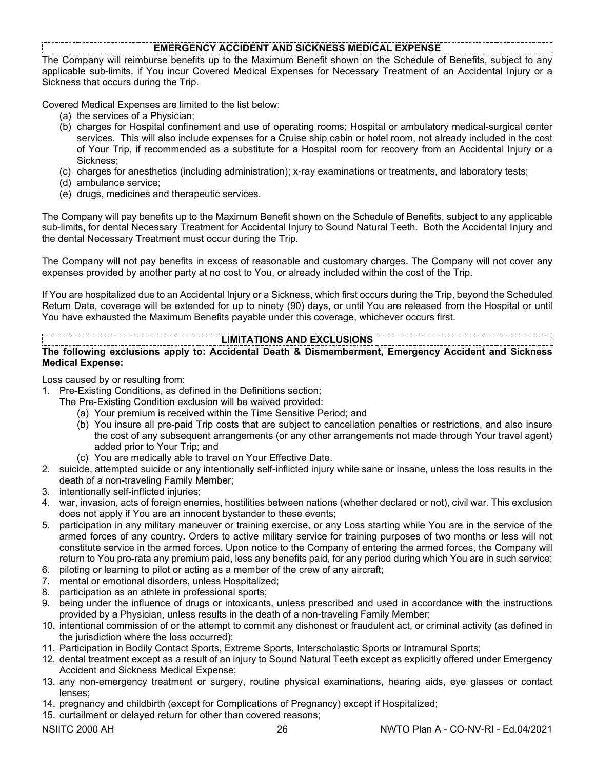#### **EMERGENCY ACCIDENT AND SICKNESS MEDICAL EXPENSE**

The Company will reimburse benefits up to the Maximum Benefit shown on the Schedule of Benefits, subject to any applicable sub-limits, if You incur Covered Medical Expenses for Necessary Treatment of an Accidental Injury or a Sickness that occurs during the Trip.

Covered Medical Expenses are limited to the list below:

- (a) the services of a Physician;
- (b) charges for Hospital confinement and use of operating rooms; Hospital or ambulatory medical-surgical center services. This will also include expenses for a Cruise ship cabin or hotel room, not already included in the cost of Your Trip, if recommended as a substitute for a Hospital room for recovery from an Accidental Injury or a Sickness;
- (c) charges for anesthetics (including administration); x-ray examinations or treatments, and laboratory tests;
- (d) ambulance service;
- (e) drugs, medicines and therapeutic services.

The Company will pay benefits up to the Maximum Benefit shown on the Schedule of Benefits, subject to any applicable sub-limits, for dental Necessary Treatment for Accidental Injury to Sound Natural Teeth. Both the Accidental Injury and the dental Necessary Treatment must occur during the Trip.

The Company will not pay benefits in excess of reasonable and customary charges. The Company will not cover any expenses provided by another party at no cost to You, or already included within the cost of the Trip.

If You are hospitalized due to an Accidental Injury or a Sickness, which first occurs during the Trip, beyond the Scheduled Return Date, coverage will be extended for up to ninety (90) days, or until You are released from the Hospital or until You have exhausted the Maximum Benefits payable under this coverage, whichever occurs first.

#### **LIMITATIONS AND EXCLUSIONS**

#### **The following exclusions apply to: Accidental Death & Dismemberment, Emergency Accident and Sickness Medical Expense:**

Loss caused by or resulting from:

- 1. Pre-Existing Conditions, as defined in the Definitions section;
	- The Pre-Existing Condition exclusion will be waived provided:
		- (a) Your premium is received within the Time Sensitive Period; and
		- (b) You insure all pre-paid Trip costs that are subject to cancellation penalties or restrictions, and also insure the cost of any subsequent arrangements (or any other arrangements not made through Your travel agent) added prior to Your Trip; and
		- (c) You are medically able to travel on Your Effective Date.
- 2. suicide, attempted suicide or any intentionally self-inflicted injury while sane or insane, unless the loss results in the death of a non-traveling Family Member;
- 3. intentionally self-inflicted injuries;
- 4. war, invasion, acts of foreign enemies, hostilities between nations (whether declared or not), civil war. This exclusion does not apply if You are an innocent bystander to these events;
- 5. participation in any military maneuver or training exercise, or any Loss starting while You are in the service of the armed forces of any country. Orders to active military service for training purposes of two months or less will not constitute service in the armed forces. Upon notice to the Company of entering the armed forces, the Company will return to You pro-rata any premium paid, less any benefits paid, for any period during which You are in such service;
- 6. piloting or learning to pilot or acting as a member of the crew of any aircraft;
- 7. mental or emotional disorders, unless Hospitalized;
- 8. participation as an athlete in professional sports;
- 9. being under the influence of drugs or intoxicants, unless prescribed and used in accordance with the instructions provided by a Physician, unless results in the death of a non-traveling Family Member;
- 10. intentional commission of or the attempt to commit any dishonest or fraudulent act, or criminal activity (as defined in the jurisdiction where the loss occurred);
- 11. Participation in Bodily Contact Sports, Extreme Sports, Interscholastic Sports or Intramural Sports;
- 12. dental treatment except as a result of an injury to Sound Natural Teeth except as explicitly offered under Emergency Accident and Sickness Medical Expense;
- 13. any non-emergency treatment or surgery, routine physical examinations, hearing aids, eye glasses or contact lenses;
- 14. pregnancy and childbirth (except for Complications of Pregnancy) except if Hospitalized;
- 15. curtailment or delayed return for other than covered reasons;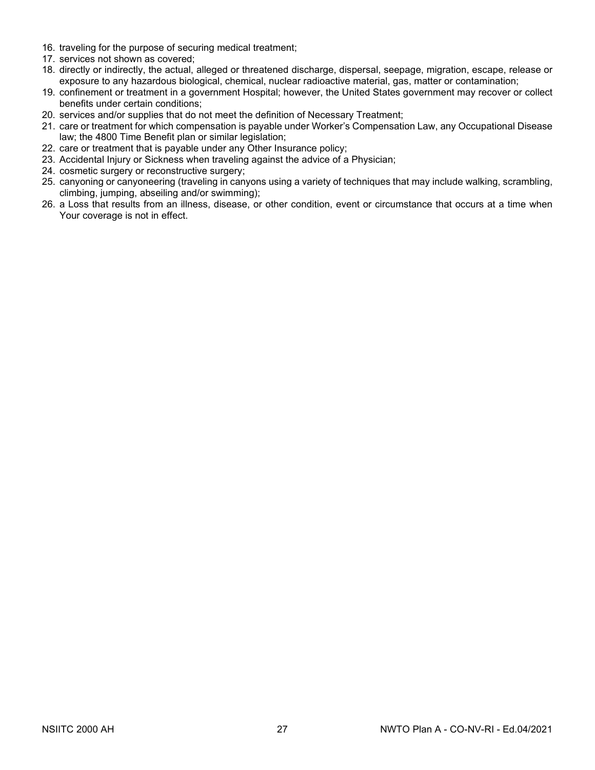- 16. traveling for the purpose of securing medical treatment;
- 17. services not shown as covered;
- 18. directly or indirectly, the actual, alleged or threatened discharge, dispersal, seepage, migration, escape, release or exposure to any hazardous biological, chemical, nuclear radioactive material, gas, matter or contamination;
- 19. confinement or treatment in a government Hospital; however, the United States government may recover or collect benefits under certain conditions;
- 20. services and/or supplies that do not meet the definition of Necessary Treatment;
- 21. care or treatment for which compensation is payable under Worker's Compensation Law, any Occupational Disease law; the 4800 Time Benefit plan or similar legislation;
- 22. care or treatment that is payable under any Other Insurance policy;
- 23. Accidental Injury or Sickness when traveling against the advice of a Physician;
- 24. cosmetic surgery or reconstructive surgery;
- 25. canyoning or canyoneering (traveling in canyons using a variety of techniques that may include walking, scrambling, climbing, jumping, abseiling and/or swimming);
- 26. a Loss that results from an illness, disease, or other condition, event or circumstance that occurs at a time when Your coverage is not in effect.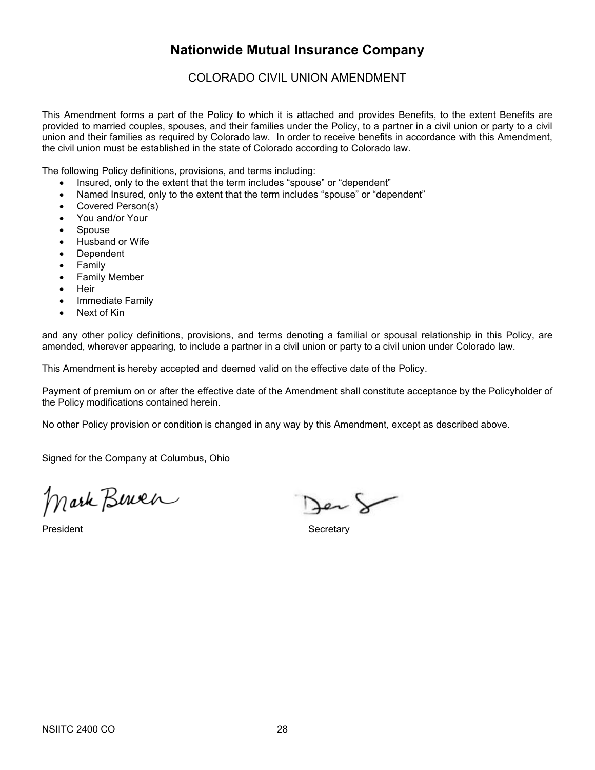# **Nationwide Mutual Insurance Company**

COLORADO CIVIL UNION AMENDMENT

This Amendment forms a part of the Policy to which it is attached and provides Benefits, to the extent Benefits are provided to married couples, spouses, and their families under the Policy, to a partner in a civil union or party to a civil union and their families as required by Colorado law. In order to receive benefits in accordance with this Amendment, the civil union must be established in the state of Colorado according to Colorado law.

The following Policy definitions, provisions, and terms including:

- Insured, only to the extent that the term includes "spouse" or "dependent"
- Named Insured, only to the extent that the term includes "spouse" or "dependent"
- Covered Person(s)
- You and/or Your
- Spouse
- Husband or Wife
- Dependent
- Family
- Family Member
- Heir
- Immediate Family
- Next of Kin

and any other policy definitions, provisions, and terms denoting a familial or spousal relationship in this Policy, are amended, wherever appearing, to include a partner in a civil union or party to a civil union under Colorado law.

This Amendment is hereby accepted and deemed valid on the effective date of the Policy.

Payment of premium on or after the effective date of the Amendment shall constitute acceptance by the Policyholder of the Policy modifications contained herein.

No other Policy provision or condition is changed in any way by this Amendment, except as described above.

Signed for the Company at Columbus, Ohio

Mark Berner

President **Secretary** 

Jen S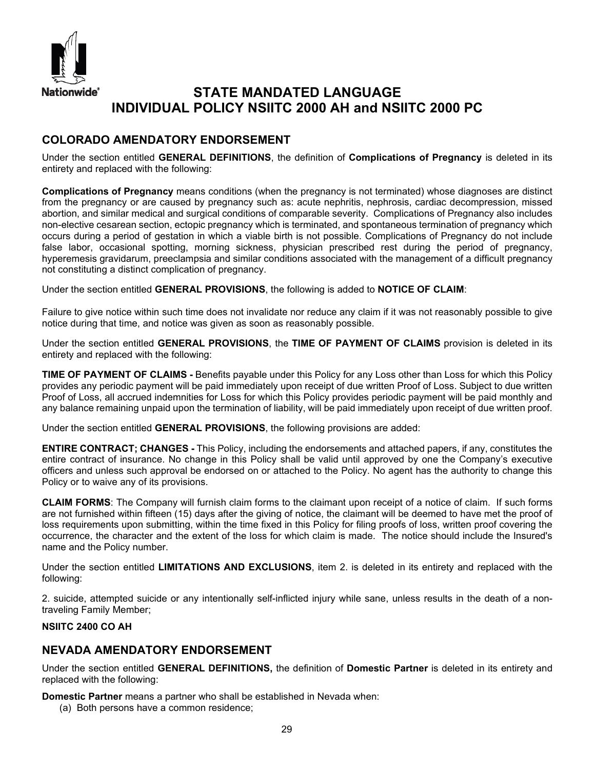

# **STATE MANDATED LANGUAGE INDIVIDUAL POLICY NSIITC 2000 AH and NSIITC 2000 PC**

# **COLORADO AMENDATORY ENDORSEMENT**

Under the section entitled **GENERAL DEFINITIONS**, the definition of **Complications of Pregnancy** is deleted in its entirety and replaced with the following:

**Complications of Pregnancy** means conditions (when the pregnancy is not terminated) whose diagnoses are distinct from the pregnancy or are caused by pregnancy such as: acute nephritis, nephrosis, cardiac decompression, missed abortion, and similar medical and surgical conditions of comparable severity. Complications of Pregnancy also includes non-elective cesarean section, ectopic pregnancy which is terminated, and spontaneous termination of pregnancy which occurs during a period of gestation in which a viable birth is not possible. Complications of Pregnancy do not include false labor, occasional spotting, morning sickness, physician prescribed rest during the period of pregnancy, hyperemesis gravidarum, preeclampsia and similar conditions associated with the management of a difficult pregnancy not constituting a distinct complication of pregnancy.

Under the section entitled **GENERAL PROVISIONS**, the following is added to **NOTICE OF CLAIM**:

Failure to give notice within such time does not invalidate nor reduce any claim if it was not reasonably possible to give notice during that time, and notice was given as soon as reasonably possible.

Under the section entitled **GENERAL PROVISIONS**, the **TIME OF PAYMENT OF CLAIMS** provision is deleted in its entirety and replaced with the following:

**TIME OF PAYMENT OF CLAIMS -** Benefits payable under this Policy for any Loss other than Loss for which this Policy provides any periodic payment will be paid immediately upon receipt of due written Proof of Loss. Subject to due written Proof of Loss, all accrued indemnities for Loss for which this Policy provides periodic payment will be paid monthly and any balance remaining unpaid upon the termination of liability, will be paid immediately upon receipt of due written proof.

Under the section entitled **GENERAL PROVISIONS**, the following provisions are added:

**ENTIRE CONTRACT; CHANGES -** This Policy, including the endorsements and attached papers, if any, constitutes the entire contract of insurance. No change in this Policy shall be valid until approved by one the Company's executive officers and unless such approval be endorsed on or attached to the Policy. No agent has the authority to change this Policy or to waive any of its provisions.

**CLAIM FORMS**: The Company will furnish claim forms to the claimant upon receipt of a notice of claim. If such forms are not furnished within fifteen (15) days after the giving of notice, the claimant will be deemed to have met the proof of loss requirements upon submitting, within the time fixed in this Policy for filing proofs of loss, written proof covering the occurrence, the character and the extent of the loss for which claim is made. The notice should include the Insured's name and the Policy number.

Under the section entitled **LIMITATIONS AND EXCLUSIONS**, item 2. is deleted in its entirety and replaced with the following:

2. suicide, attempted suicide or any intentionally self-inflicted injury while sane, unless results in the death of a nontraveling Family Member;

#### **NSIITC 2400 CO AH**

# **NEVADA AMENDATORY ENDORSEMENT**

Under the section entitled **GENERAL DEFINITIONS,** the definition of **Domestic Partner** is deleted in its entirety and replaced with the following:

**Domestic Partner** means a partner who shall be established in Nevada when:

(a) Both persons have a common residence;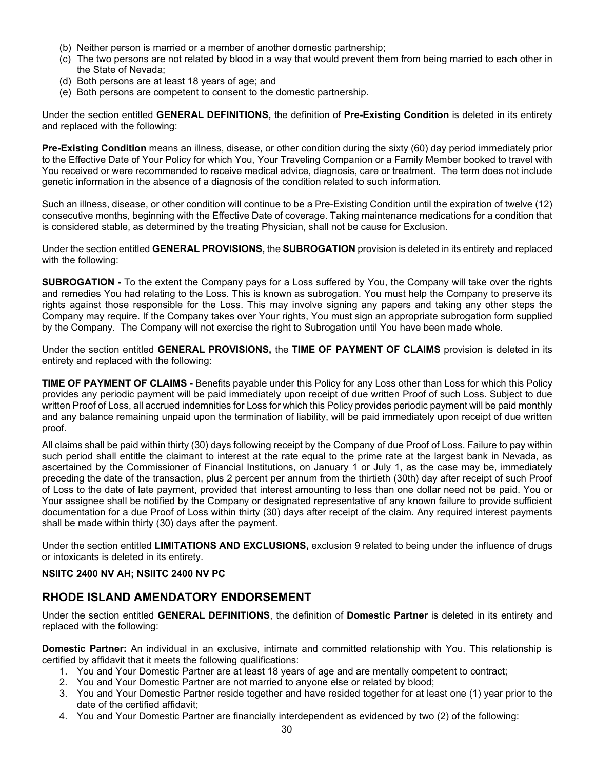- (b) Neither person is married or a member of another domestic partnership;
- (c) The two persons are not related by blood in a way that would prevent them from being married to each other in the State of Nevada;
- (d) Both persons are at least 18 years of age; and
- (e) Both persons are competent to consent to the domestic partnership.

Under the section entitled **GENERAL DEFINITIONS,** the definition of **Pre-Existing Condition** is deleted in its entirety and replaced with the following:

**Pre-Existing Condition** means an illness, disease, or other condition during the sixty (60) day period immediately prior to the Effective Date of Your Policy for which You, Your Traveling Companion or a Family Member booked to travel with You received or were recommended to receive medical advice, diagnosis, care or treatment. The term does not include genetic information in the absence of a diagnosis of the condition related to such information.

Such an illness, disease, or other condition will continue to be a Pre-Existing Condition until the expiration of twelve (12) consecutive months, beginning with the Effective Date of coverage. Taking maintenance medications for a condition that is considered stable, as determined by the treating Physician, shall not be cause for Exclusion.

Under the section entitled **GENERAL PROVISIONS,** the **SUBROGATION** provision is deleted in its entirety and replaced with the following:

**SUBROGATION -** To the extent the Company pays for a Loss suffered by You, the Company will take over the rights and remedies You had relating to the Loss. This is known as subrogation. You must help the Company to preserve its rights against those responsible for the Loss. This may involve signing any papers and taking any other steps the Company may require. If the Company takes over Your rights, You must sign an appropriate subrogation form supplied by the Company. The Company will not exercise the right to Subrogation until You have been made whole.

Under the section entitled **GENERAL PROVISIONS,** the **TIME OF PAYMENT OF CLAIMS** provision is deleted in its entirety and replaced with the following:

**TIME OF PAYMENT OF CLAIMS -** Benefits payable under this Policy for any Loss other than Loss for which this Policy provides any periodic payment will be paid immediately upon receipt of due written Proof of such Loss. Subject to due written Proof of Loss, all accrued indemnities for Loss for which this Policy provides periodic payment will be paid monthly and any balance remaining unpaid upon the termination of liability, will be paid immediately upon receipt of due written proof.

All claims shall be paid within thirty (30) days following receipt by the Company of due Proof of Loss. Failure to pay within such period shall entitle the claimant to interest at the rate equal to the prime rate at the largest bank in Nevada, as ascertained by the Commissioner of Financial Institutions, on January 1 or July 1, as the case may be, immediately preceding the date of the transaction, plus 2 percent per annum from the thirtieth (30th) day after receipt of such Proof of Loss to the date of late payment, provided that interest amounting to less than one dollar need not be paid. You or Your assignee shall be notified by the Company or designated representative of any known failure to provide sufficient documentation for a due Proof of Loss within thirty (30) days after receipt of the claim. Any required interest payments shall be made within thirty (30) days after the payment.

Under the section entitled **LIMITATIONS AND EXCLUSIONS,** exclusion 9 related to being under the influence of drugs or intoxicants is deleted in its entirety.

#### **NSIITC 2400 NV AH; NSIITC 2400 NV PC**

# **RHODE ISLAND AMENDATORY ENDORSEMENT**

Under the section entitled **GENERAL DEFINITIONS**, the definition of **Domestic Partner** is deleted in its entirety and replaced with the following:

**Domestic Partner:** An individual in an exclusive, intimate and committed relationship with You. This relationship is certified by affidavit that it meets the following qualifications:

- 1. You and Your Domestic Partner are at least 18 years of age and are mentally competent to contract;
- 2. You and Your Domestic Partner are not married to anyone else or related by blood;
- 3. You and Your Domestic Partner reside together and have resided together for at least one (1) year prior to the date of the certified affidavit;
- 4. You and Your Domestic Partner are financially interdependent as evidenced by two (2) of the following: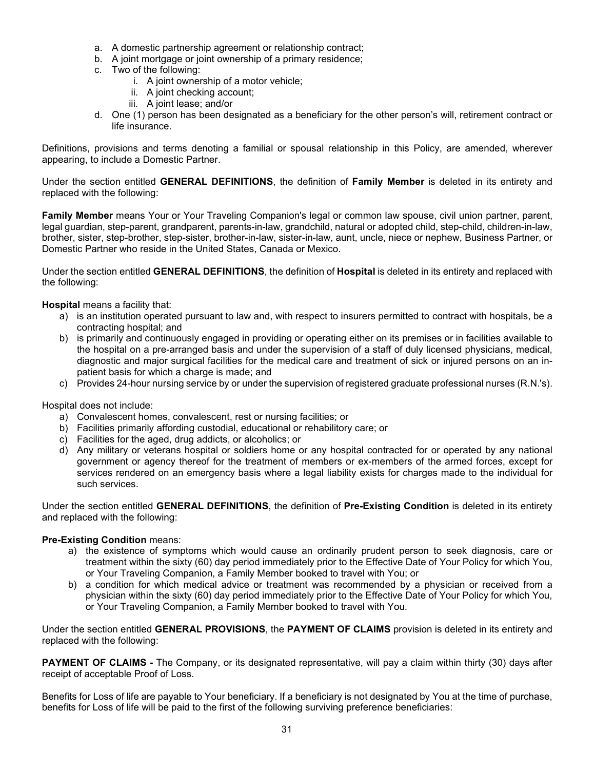- a. A domestic partnership agreement or relationship contract;
- b. A joint mortgage or joint ownership of a primary residence;
- c. Two of the following:
	- i. A joint ownership of a motor vehicle;
	- ii. A joint checking account;
	- iii. A joint lease; and/or
- d. One (1) person has been designated as a beneficiary for the other person's will, retirement contract or life insurance.

Definitions, provisions and terms denoting a familial or spousal relationship in this Policy, are amended, wherever appearing, to include a Domestic Partner.

Under the section entitled **GENERAL DEFINITIONS**, the definition of **Family Member** is deleted in its entirety and replaced with the following:

**Family Member** means Your or Your Traveling Companion's legal or common law spouse, civil union partner, parent, legal guardian, step-parent, grandparent, parents-in-law, grandchild, natural or adopted child, step-child, children-in-law, brother, sister, step-brother, step-sister, brother-in-law, sister-in-law, aunt, uncle, niece or nephew, Business Partner, or Domestic Partner who reside in the United States, Canada or Mexico.

Under the section entitled **GENERAL DEFINITIONS**, the definition of **Hospital** is deleted in its entirety and replaced with the following:

**Hospital** means a facility that:

- a) is an institution operated pursuant to law and, with respect to insurers permitted to contract with hospitals, be a contracting hospital; and
- b) is primarily and continuously engaged in providing or operating either on its premises or in facilities available to the hospital on a pre-arranged basis and under the supervision of a staff of duly licensed physicians, medical, diagnostic and major surgical facilities for the medical care and treatment of sick or injured persons on an inpatient basis for which a charge is made; and
- c) Provides 24-hour nursing service by or under the supervision of registered graduate professional nurses (R.N.'s).

Hospital does not include:

- a) Convalescent homes, convalescent, rest or nursing facilities; or
- b) Facilities primarily affording custodial, educational or rehabilitory care; or
- c) Facilities for the aged, drug addicts, or alcoholics; or
- d) Any military or veterans hospital or soldiers home or any hospital contracted for or operated by any national government or agency thereof for the treatment of members or ex-members of the armed forces, except for services rendered on an emergency basis where a legal liability exists for charges made to the individual for such services.

Under the section entitled **GENERAL DEFINITIONS**, the definition of **Pre-Existing Condition** is deleted in its entirety and replaced with the following:

#### **Pre-Existing Condition** means:

- a) the existence of symptoms which would cause an ordinarily prudent person to seek diagnosis, care or treatment within the sixty (60) day period immediately prior to the Effective Date of Your Policy for which You, or Your Traveling Companion, a Family Member booked to travel with You; or
- b) a condition for which medical advice or treatment was recommended by a physician or received from a physician within the sixty (60) day period immediately prior to the Effective Date of Your Policy for which You, or Your Traveling Companion, a Family Member booked to travel with You.

Under the section entitled **GENERAL PROVISIONS**, the **PAYMENT OF CLAIMS** provision is deleted in its entirety and replaced with the following:

**PAYMENT OF CLAIMS -** The Company, or its designated representative, will pay a claim within thirty (30) days after receipt of acceptable Proof of Loss.

Benefits for Loss of life are payable to Your beneficiary. If a beneficiary is not designated by You at the time of purchase, benefits for Loss of life will be paid to the first of the following surviving preference beneficiaries: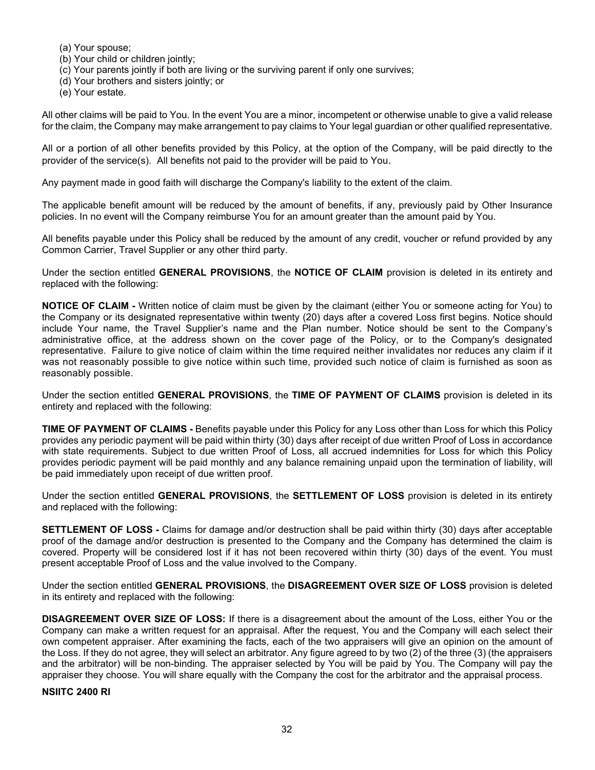- (a) Your spouse;
- (b) Your child or children jointly;
- (c) Your parents jointly if both are living or the surviving parent if only one survives;
- (d) Your brothers and sisters jointly; or
- (e) Your estate.

All other claims will be paid to You. In the event You are a minor, incompetent or otherwise unable to give a valid release for the claim, the Company may make arrangement to pay claims to Your legal guardian or other qualified representative.

All or a portion of all other benefits provided by this Policy, at the option of the Company, will be paid directly to the provider of the service(s). All benefits not paid to the provider will be paid to You.

Any payment made in good faith will discharge the Company's liability to the extent of the claim.

The applicable benefit amount will be reduced by the amount of benefits, if any, previously paid by Other Insurance policies. In no event will the Company reimburse You for an amount greater than the amount paid by You.

All benefits payable under this Policy shall be reduced by the amount of any credit, voucher or refund provided by any Common Carrier, Travel Supplier or any other third party.

Under the section entitled **GENERAL PROVISIONS**, the **NOTICE OF CLAIM** provision is deleted in its entirety and replaced with the following:

**NOTICE OF CLAIM -** Written notice of claim must be given by the claimant (either You or someone acting for You) to the Company or its designated representative within twenty (20) days after a covered Loss first begins. Notice should include Your name, the Travel Supplier's name and the Plan number. Notice should be sent to the Company's administrative office, at the address shown on the cover page of the Policy, or to the Company's designated representative. Failure to give notice of claim within the time required neither invalidates nor reduces any claim if it was not reasonably possible to give notice within such time, provided such notice of claim is furnished as soon as reasonably possible.

Under the section entitled **GENERAL PROVISIONS**, the **TIME OF PAYMENT OF CLAIMS** provision is deleted in its entirety and replaced with the following:

**TIME OF PAYMENT OF CLAIMS -** Benefits payable under this Policy for any Loss other than Loss for which this Policy provides any periodic payment will be paid within thirty (30) days after receipt of due written Proof of Loss in accordance with state requirements. Subject to due written Proof of Loss, all accrued indemnities for Loss for which this Policy provides periodic payment will be paid monthly and any balance remaining unpaid upon the termination of liability, will be paid immediately upon receipt of due written proof.

Under the section entitled **GENERAL PROVISIONS**, the **SETTLEMENT OF LOSS** provision is deleted in its entirety and replaced with the following:

**SETTLEMENT OF LOSS -** Claims for damage and/or destruction shall be paid within thirty (30) days after acceptable proof of the damage and/or destruction is presented to the Company and the Company has determined the claim is covered. Property will be considered lost if it has not been recovered within thirty (30) days of the event. You must present acceptable Proof of Loss and the value involved to the Company.

Under the section entitled **GENERAL PROVISIONS**, the **DISAGREEMENT OVER SIZE OF LOSS** provision is deleted in its entirety and replaced with the following:

**DISAGREEMENT OVER SIZE OF LOSS:** If there is a disagreement about the amount of the Loss, either You or the Company can make a written request for an appraisal. After the request, You and the Company will each select their own competent appraiser. After examining the facts, each of the two appraisers will give an opinion on the amount of the Loss. If they do not agree, they will select an arbitrator. Any figure agreed to by two (2) of the three (3) (the appraisers and the arbitrator) will be non-binding. The appraiser selected by You will be paid by You. The Company will pay the appraiser they choose. You will share equally with the Company the cost for the arbitrator and the appraisal process.

#### **NSIITC 2400 RI**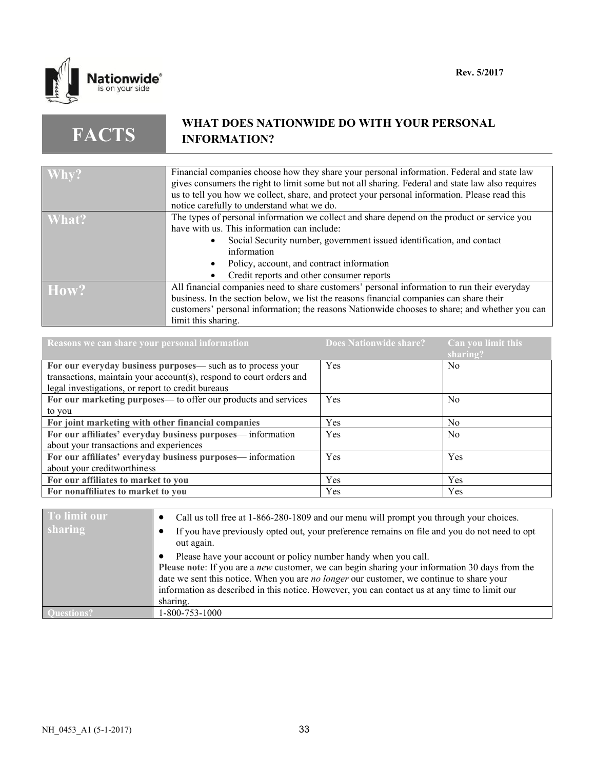

**FACTS**

# **WHAT DOES NATIONWIDE DO WITH YOUR PERSONAL INFORMATION?**

| $W$ hy? | Financial companies choose how they share your personal information. Federal and state law       |
|---------|--------------------------------------------------------------------------------------------------|
|         | gives consumers the right to limit some but not all sharing. Federal and state law also requires |
|         |                                                                                                  |
|         | us to tell you how we collect, share, and protect your personal information. Please read this    |
|         | notice carefully to understand what we do.                                                       |
| What?   | The types of personal information we collect and share depend on the product or service you      |
|         | have with us. This information can include:                                                      |
|         | Social Security number, government issued identification, and contact                            |
|         | information                                                                                      |
|         | Policy, account, and contract information                                                        |
|         | Credit reports and other consumer reports                                                        |
| How?    | All financial companies need to share customers' personal information to run their everyday      |
|         | business. In the section below, we list the reasons financial companies can share their          |
|         |                                                                                                  |
|         | customers' personal information; the reasons Nationwide chooses to share; and whether you can    |
|         | limit this sharing.                                                                              |

| Reasons we can share your personal information                      | Does Nationwide share? | Can you limit this<br>sharing? |
|---------------------------------------------------------------------|------------------------|--------------------------------|
| For our everyday business purposes— such as to process your         | Yes                    | N <sub>0</sub>                 |
| transactions, maintain your account(s), respond to court orders and |                        |                                |
| legal investigations, or report to credit bureaus                   |                        |                                |
| For our marketing purposes— to offer our products and services      | Yes                    | N <sub>0</sub>                 |
| to you                                                              |                        |                                |
| For joint marketing with other financial companies                  | <b>Yes</b>             | N <sub>0</sub>                 |
| For our affiliates' everyday business purposes— information         | Yes                    | N <sub>0</sub>                 |
| about your transactions and experiences                             |                        |                                |
| For our affiliates' everyday business purposes— information         | Yes                    | Yes                            |
| about your creditworthiness                                         |                        |                                |
| For our affiliates to market to you                                 | <b>Yes</b>             | Yes                            |
| For nonaffiliates to market to you                                  | Yes                    | Yes                            |

| To limit our | Call us toll free at 1-866-280-1809 and our menu will prompt you through your choices.                                                                                                                                                                                                                                                                                           |
|--------------|----------------------------------------------------------------------------------------------------------------------------------------------------------------------------------------------------------------------------------------------------------------------------------------------------------------------------------------------------------------------------------|
| sharing      | If you have previously opted out, your preference remains on file and you do not need to opt<br>out again.                                                                                                                                                                                                                                                                       |
|              | Please have your account or policy number handy when you call.<br>Please note: If you are a <i>new</i> customer, we can begin sharing your information 30 days from the<br>date we sent this notice. When you are no longer our customer, we continue to share your<br>information as described in this notice. However, you can contact us at any time to limit our<br>sharing. |
|              | 1-800-753-1000                                                                                                                                                                                                                                                                                                                                                                   |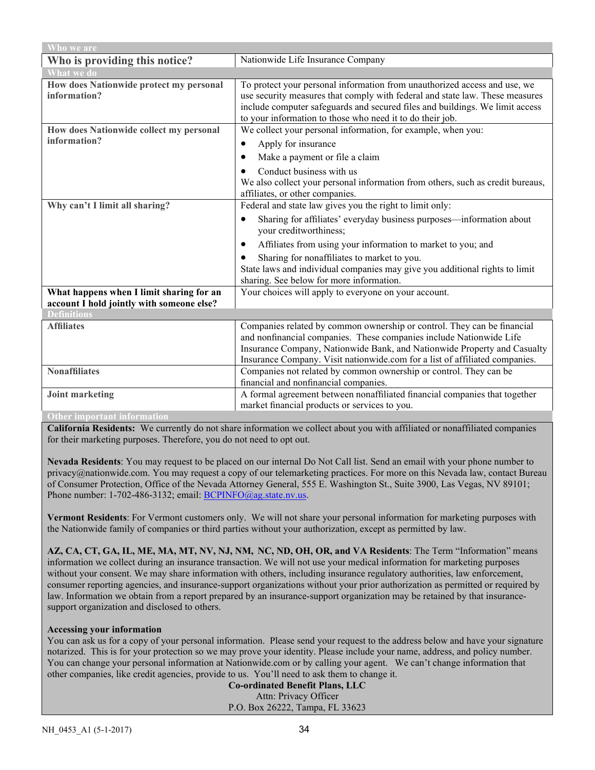| Who we are                                                                            |                                                                                                                                                                                                                                                                                                           |  |
|---------------------------------------------------------------------------------------|-----------------------------------------------------------------------------------------------------------------------------------------------------------------------------------------------------------------------------------------------------------------------------------------------------------|--|
| Who is providing this notice?                                                         | Nationwide Life Insurance Company                                                                                                                                                                                                                                                                         |  |
| <b>What we do</b>                                                                     |                                                                                                                                                                                                                                                                                                           |  |
| How does Nationwide protect my personal<br>information?                               | To protect your personal information from unauthorized access and use, we<br>use security measures that comply with federal and state law. These measures<br>include computer safeguards and secured files and buildings. We limit access<br>to your information to those who need it to do their job.    |  |
| How does Nationwide collect my personal                                               | We collect your personal information, for example, when you:                                                                                                                                                                                                                                              |  |
| information?                                                                          | Apply for insurance<br>$\bullet$                                                                                                                                                                                                                                                                          |  |
|                                                                                       | Make a payment or file a claim<br>٠                                                                                                                                                                                                                                                                       |  |
|                                                                                       | Conduct business with us<br>We also collect your personal information from others, such as credit bureaus,<br>affiliates, or other companies.                                                                                                                                                             |  |
| Why can't I limit all sharing?                                                        | Federal and state law gives you the right to limit only:                                                                                                                                                                                                                                                  |  |
|                                                                                       | Sharing for affiliates' everyday business purposes—information about<br>٠<br>your creditworthiness;                                                                                                                                                                                                       |  |
|                                                                                       | Affiliates from using your information to market to you; and<br>$\bullet$                                                                                                                                                                                                                                 |  |
|                                                                                       | Sharing for nonaffiliates to market to you.<br>$\bullet$                                                                                                                                                                                                                                                  |  |
|                                                                                       | State laws and individual companies may give you additional rights to limit<br>sharing. See below for more information.                                                                                                                                                                                   |  |
| What happens when I limit sharing for an<br>account I hold jointly with someone else? | Your choices will apply to everyone on your account.                                                                                                                                                                                                                                                      |  |
| <b>Definitions</b>                                                                    |                                                                                                                                                                                                                                                                                                           |  |
| <b>Affiliates</b>                                                                     | Companies related by common ownership or control. They can be financial<br>and nonfinancial companies. These companies include Nationwide Life<br>Insurance Company, Nationwide Bank, and Nationwide Property and Casualty<br>Insurance Company. Visit nationwide.com for a list of affiliated companies. |  |
| <b>Nonaffiliates</b>                                                                  | Companies not related by common ownership or control. They can be                                                                                                                                                                                                                                         |  |
|                                                                                       | financial and nonfinancial companies.                                                                                                                                                                                                                                                                     |  |
| <b>Joint marketing</b>                                                                | A formal agreement between nonaffiliated financial companies that together                                                                                                                                                                                                                                |  |
|                                                                                       | market financial products or services to you.                                                                                                                                                                                                                                                             |  |
| <b>Other important information</b>                                                    |                                                                                                                                                                                                                                                                                                           |  |

**California Residents:** We currently do not share information we collect about you with affiliated or nonaffiliated companies for their marketing purposes. Therefore, you do not need to opt out.

**Nevada Residents**: You may request to be placed on our internal Do Not Call list. Send an email with your phone number to privacy@nationwide.com. You may request a copy of our telemarketing practices. For more on this Nevada law, contact Bureau of Consumer Protection, Office of the Nevada Attorney General, 555 E. Washington St., Suite 3900, Las Vegas, NV 89101; Phone number: 1-702-486-3132; email[: BCPINFO@ag.state.nv.us.](mailto:BCPINFO@ag.state.nv.us)

**Vermont Residents**: For Vermont customers only. We will not share your personal information for marketing purposes with the Nationwide family of companies or third parties without your authorization, except as permitted by law.

**AZ, CA, CT, GA, IL, ME, MA, MT, NV, NJ, NM, NC, ND, OH, OR, and VA Residents**: The Term "Information" means information we collect during an insurance transaction. We will not use your medical information for marketing purposes without your consent. We may share information with others, including insurance regulatory authorities, law enforcement, consumer reporting agencies, and insurance-support organizations without your prior authorization as permitted or required by law. Information we obtain from a report prepared by an insurance-support organization may be retained by that insurancesupport organization and disclosed to others.

#### **Accessing your information**

You can ask us for a copy of your personal information. Please send your request to the address below and have your signature notarized. This is for your protection so we may prove your identity. Please include your name, address, and policy number. You can change your personal information at Nationwide.com or by calling your agent. We can't change information that other companies, like credit agencies, provide to us. You'll need to ask them to change it.

**Co-ordinated Benefit Plans, LLC** Attn: Privacy Officer P.O. Box 26222, Tampa, FL 33623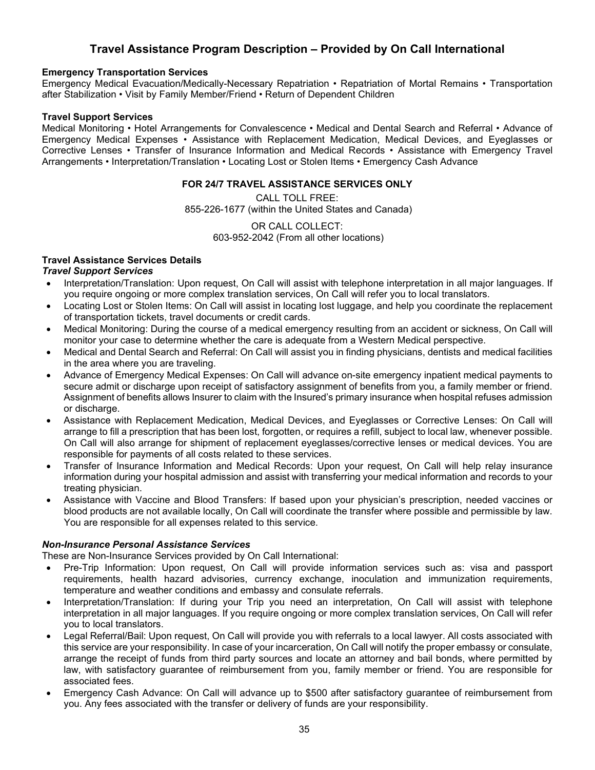# **Travel Assistance Program Description – Provided by On Call International**

#### **Emergency Transportation Services**

Emergency Medical Evacuation/Medically-Necessary Repatriation • Repatriation of Mortal Remains • Transportation after Stabilization • Visit by Family Member/Friend • Return of Dependent Children

#### **Travel Support Services**

Medical Monitoring • Hotel Arrangements for Convalescence • Medical and Dental Search and Referral • Advance of Emergency Medical Expenses • Assistance with Replacement Medication, Medical Devices, and Eyeglasses or Corrective Lenses • Transfer of Insurance Information and Medical Records • Assistance with Emergency Travel Arrangements • Interpretation/Translation • Locating Lost or Stolen Items • Emergency Cash Advance

#### **FOR 24/7 TRAVEL ASSISTANCE SERVICES ONLY**

CALL TOLL FREE: 855-226-1677 (within the United States and Canada)

> OR CALL COLLECT: 603-952-2042 (From all other locations)

# **Travel Assistance Services Details**

#### *Travel Support Services*

- Interpretation/Translation: Upon request, On Call will assist with telephone interpretation in all major languages. If you require ongoing or more complex translation services, On Call will refer you to local translators.
- Locating Lost or Stolen Items: On Call will assist in locating lost luggage, and help you coordinate the replacement of transportation tickets, travel documents or credit cards.
- Medical Monitoring: During the course of a medical emergency resulting from an accident or sickness, On Call will monitor your case to determine whether the care is adequate from a Western Medical perspective.
- Medical and Dental Search and Referral: On Call will assist you in finding physicians, dentists and medical facilities in the area where you are traveling.
- Advance of Emergency Medical Expenses: On Call will advance on-site emergency inpatient medical payments to secure admit or discharge upon receipt of satisfactory assignment of benefits from you, a family member or friend. Assignment of benefits allows Insurer to claim with the Insured's primary insurance when hospital refuses admission or discharge.
- Assistance with Replacement Medication, Medical Devices, and Eyeglasses or Corrective Lenses: On Call will arrange to fill a prescription that has been lost, forgotten, or requires a refill, subject to local law, whenever possible. On Call will also arrange for shipment of replacement eyeglasses/corrective lenses or medical devices. You are responsible for payments of all costs related to these services.
- Transfer of Insurance Information and Medical Records: Upon your request, On Call will help relay insurance information during your hospital admission and assist with transferring your medical information and records to your treating physician.
- Assistance with Vaccine and Blood Transfers: If based upon your physician's prescription, needed vaccines or blood products are not available locally, On Call will coordinate the transfer where possible and permissible by law. You are responsible for all expenses related to this service.

#### *Non-Insurance Personal Assistance Services*

These are Non-Insurance Services provided by On Call International:

- Pre-Trip Information: Upon request, On Call will provide information services such as: visa and passport requirements, health hazard advisories, currency exchange, inoculation and immunization requirements, temperature and weather conditions and embassy and consulate referrals.
- Interpretation/Translation: If during your Trip you need an interpretation, On Call will assist with telephone interpretation in all major languages. If you require ongoing or more complex translation services, On Call will refer you to local translators.
- Legal Referral/Bail: Upon request, On Call will provide you with referrals to a local lawyer. All costs associated with this service are your responsibility. In case of your incarceration, On Call will notify the proper embassy or consulate, arrange the receipt of funds from third party sources and locate an attorney and bail bonds, where permitted by law, with satisfactory guarantee of reimbursement from you, family member or friend. You are responsible for associated fees.
- Emergency Cash Advance: On Call will advance up to \$500 after satisfactory guarantee of reimbursement from you. Any fees associated with the transfer or delivery of funds are your responsibility.